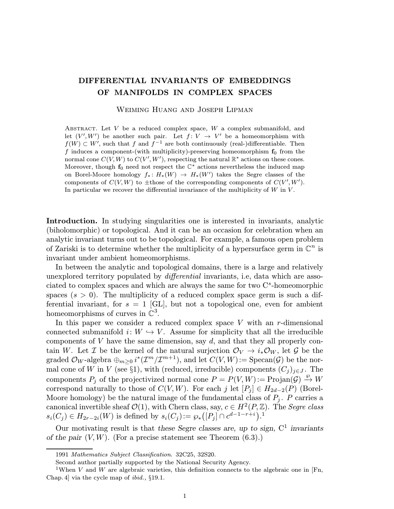## DIFFERENTIAL INVARIANTS OF EMBEDDINGS OF MANIFOLDS IN COMPLEX SPACES

Weiming Huang and Joseph Lipman

ABSTRACT. Let  $V$  be a reduced complex space,  $W$  a complex submanifold, and let  $(V', W')$  be another such pair. Let  $f: V \to V'$  be a homeomorphism with  $f(W) \subset W'$ , such that f and  $f^{-1}$  are both continuously (real-)differentiable. Then f induces a component-(with multiplicity)-preserving homeomorphism  $f_0$  from the normal cone  $C(V,W)$  to  $C(V',W')$ , respecting the natural  $\mathbb{R}^*$  actions on these cones. Moreover, though  $f_0$  need not respect the  $\mathbb{C}^*$  actions nevertheless the induced map on Borel-Moore homology  $f_*: H_*(W) \to H_*(W')$  takes the Segre classes of the components of  $C(V, W)$  to  $\pm$ those of the corresponding components of  $C(V', W')$ . In particular we recover the differential invariance of the multiplicity of  $W$  in  $V$ .

Introduction. In studying singularities one is interested in invariants, analytic (biholomorphic) or topological. And it can be an occasion for celebration when an analytic invariant turns out to be topological. For example, a famous open problem of Zariski is to determine whether the multiplicity of a hypersurface germ in  $\mathbb{C}^n$  is invariant under ambient homeomorphisms.

In between the analytic and topological domains, there is a large and relatively unexplored territory populated by differential invariants, i.e, data which are associated to complex spaces and which are always the same for two  $\mathbb{C}^s$ -homeomorphic spaces  $(s > 0)$ . The multiplicity of a reduced complex space germ is such a differential invariant, for  $s = 1$  [GL], but not a topological one, even for ambient homeomorphisms of curves in  $\mathbb{C}^3$ .

In this paper we consider a reduced complex space  $V$  with an  $r$ -dimensional connected submanifold  $i: W \hookrightarrow V$ . Assume for simplicity that all the irreducible components of  $V$  have the same dimension, say  $d$ , and that they all properly contain W. Let I be the kernel of the natural surjection  $\mathcal{O}_V \to i_* \mathcal{O}_W$ , let G be the graded  $\mathcal{O}_W$ -algebra  $\bigoplus_{m\geq 0} i^*(\mathcal{I}^m/\mathcal{I}^{m+1}),$  and let  $C(V,W) := \mathrm{Specan}(\mathcal{G})$  be the normal cone of W in V (see §1), with (reduced, irreducible) components  $(C_j)_{j\in J}$ . The components  $P_j$  of the projectivized normal cone  $P = P(V, W) := \text{Projan}(\mathcal{G}) \stackrel{\wp}{\to} W$ correspond naturally to those of  $C(V,W)$ . For each j let  $[P_i] \in H_{2d-2}(P)$  (Borel-Moore homology) be the natural image of the fundamental class of  $P_i$ . P carries a canonical invertible sheaf  $\mathcal{O}(1)$ , with Chern class, say,  $c \in H^2(P, \mathbb{Z})$ . The *Segre class*  $s_i(C_j) \in H_{2r-2i}(W)$  is defined by  $s_i(C_j) := \wp_*([P_j] \cap c^{d-1-r+i}).$ <sup>1</sup>

Our motivating result is that these Segre classes are, up to sign,  $C^1$  invariants of the pair  $(V, W)$ . (For a precise statement see Theorem  $(6.3)$ .)

<sup>1991</sup> Mathematics Subject Classification. 32C25, 32S20.

Second author partially supported by the National Security Agency.

<sup>&</sup>lt;sup>1</sup>When V and W are algebraic varieties, this definition connects to the algebraic one in [Fn, Chap. 4] via the cycle map of ibid., §19.1.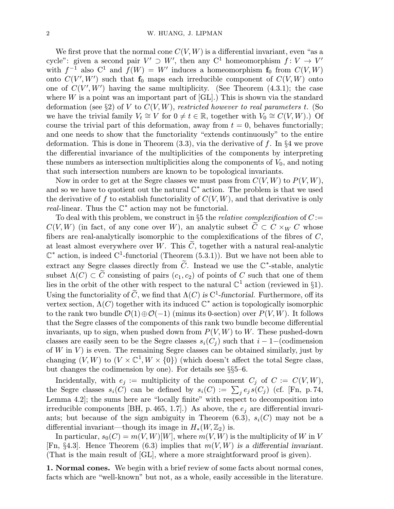We first prove that the normal cone  $C(V, W)$  is a differential invariant, even "as a cycle": given a second pair  $V' \supset W'$ , then any  $C^1$  homeomorphism  $f: V \to V'$ with  $f^{-1}$  also  $C^1$  and  $f(W) = W'$  induces a homeomorphism  $f_0$  from  $C(V, W)$ onto  $C(V', W')$  such that  $f_0$  maps each irreducible component of  $C(V, W)$  onto one of  $C(V', W')$  having the same multiplicity. (See Theorem  $(4.3.1)$ ; the case where  $W$  is a point was an important part of  $\left[ GL\right]$ .) This is shown via the standard deformation (see §2) of V to  $C(V,W)$ , restricted however to real parameters t. (So we have the trivial family  $V_t \cong V$  for  $0 \neq t \in \mathbb{R}$ , together with  $V_0 \cong C(V,W)$ .) Of course the trivial part of this deformation, away from  $t = 0$ , behaves functorially; and one needs to show that the functoriality "extends continuously" to the entire deformation. This is done in Theorem  $(3.3)$ , via the derivative of f. In §4 we prove the differential invariance of the multiplicities of the components by interpreting these numbers as intersection multiplicities along the components of  $V_0$ , and noting that such intersection numbers are known to be topological invariants.

Now in order to get at the Segre classes we must pass from  $C(V, W)$  to  $P(V, W)$ , and so we have to quotient out the natural  $\mathbb{C}^*$  action. The problem is that we used the derivative of f to establish functoriality of  $C(V,W)$ , and that derivative is only real-linear. Thus the  $\mathbb{C}^*$  action may not be functorial.

To deal with this problem, we construct in §5 the *relative complexification* of  $C$ :=  $C(V,W)$  (in fact, of any cone over W), an analytic subset  $\widetilde{C} \subset C \times_W C$  whose fibers are real-analytically isomorphic to the complexifications of the fibres of C, at least almost everywhere over W. This  $\tilde{C}$ , together with a natural real-analytic  $\mathbb{C}^*$  action, is indeed  $\mathbb{C}^1$ -functorial (Theorem (5.3.1)). But we have not been able to extract any Segre classes directly from  $\widetilde{C}$ . Instead we use the  $\mathbb{C}^*$ -stable, analytic subset  $\Lambda(C) \subset \tilde{C}$  consisting of pairs  $(c_1, c_2)$  of points of C such that one of them lies in the orbit of the other with respect to the natural  $\mathbb{C}^1$  action (reviewed in §1). Using the functoriality of  $\widetilde{C}$ , we find that  $\Lambda(C)$  is  $C^1$ -functorial. Furthermore, off its vertex section,  $\Lambda(C)$  together with its induced  $\mathbb{C}^*$  action is topologically isomorphic to the rank two bundle  $\mathcal{O}(1) \oplus \mathcal{O}(-1)$  (minus its 0-section) over  $P(V, W)$ . It follows that the Segre classes of the components of this rank two bundle become differential invariants, up to sign, when pushed down from  $P(V, W)$  to W. These pushed-down classes are easily seen to be the Segre classes  $s_i(C_i)$  such that  $i-1-(\text{codimension})$ of  $W$  in  $V$ ) is even. The remaining Segre classes can be obtained similarly, just by changing  $(V, W)$  to  $(V \times \mathbb{C}^1, W \times \{0\})$  (which doesn't affect the total Segre class, but changes the codimension by one). For details see §§5–6.

Incidentally, with  $e_j :=$  multiplicity of the component  $C_j$  of  $C := C(V, W)$ , the Segre classes  $s_i(C)$  can be defined by  $s_i(C) := \sum_j e_j s(C_j)$  (cf. [Fn, p. 74, Lemma 4.2]; the sums here are "locally finite" with respect to decomposition into irreducible components [BH, p. 465, 1.7].) As above, the  $e_i$  are differential invariants; but because of the sign ambiguity in Theorem  $(6.3)$ ,  $s_i(C)$  may not be a differential invariant—though its image in  $H_*(W, \mathbb{Z}_2)$  is.

In particular,  $s_0(C) = m(V,W)[W]$ , where  $m(V,W)$  is the multiplicity of W in V [Fn, §4.3]. Hence Theorem (6.3) implies that  $m(V, W)$  is a differential invariant. (That is the main result of [GL], where a more straightforward proof is given).

1. Normal cones. We begin with a brief review of some facts about normal cones, facts which are "well-known" but not, as a whole, easily accessible in the literature.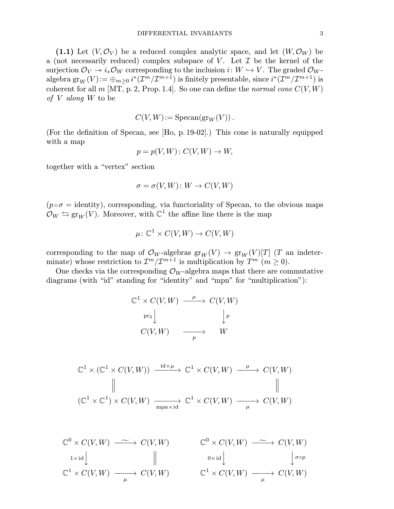(1.1) Let  $(V, \mathcal{O}_V)$  be a reduced complex analytic space, and let  $(W, \mathcal{O}_W)$  be a (not necessarily reduced) complex subspace of V. Let  $\mathcal I$  be the kernel of the surjection  $\mathcal{O}_V \twoheadrightarrow i_*\mathcal{O}_W$  corresponding to the inclusion  $i: W \hookrightarrow V$ . The graded  $\mathcal{O}_W$ - $\mathrm{algebra}\ \mathrm{gr}_W(V)\!:={\oplus_{m\geq 0}}\ i^*(\mathcal{I}^m/\mathcal{I}^{m+1})\ \mathrm{is}\ \mathrm{finitely}\ \mathrm{presentable},\ \mathrm{since}\ i^*(\mathcal{I}^m/\mathcal{I}^{m+1})\ \mathrm{is}$ coherent for all  $m$  [MT, p. 2, Prop. 1.4]. So one can define the *normal cone*  $C(V, W)$ of V along W to be

$$
C(V,W):=\operatorname{Specan}(\operatorname{gr}_W(V)).
$$

(For the definition of Specan, see [Ho, p. 19-02].) This cone is naturally equipped with a map

$$
p = p(V, W) : C(V, W) \to W,
$$

together with a "vertex" section

$$
\sigma = \sigma(V, W) \colon W \to C(V, W)
$$

 $(p \circ \sigma =$  identity), corresponding, via functoriality of Specan, to the obvious maps  $\mathcal{O}_W \leftrightarrows \text{gr}_W(V)$ . Moreover, with  $\mathbb{C}^1$  the affine line there is the map

$$
\mu\colon \mathbb{C}^1 \times C(V,W) \to C(V,W)
$$

corresponding to the map of  $\mathcal{O}_W$ -algebras  $\text{gr}_W(V) \to \text{gr}_W(V)[T]$  (T an indeterminate) whose restriction to  $\mathcal{I}^m/\mathcal{I}^{m+1}$  is multiplication by  $T^m$   $(m \ge 0)$ .

One checks via the corresponding  $\mathcal{O}_W$ -algebra maps that there are commutative diagrams (with "id" standing for "identity" and "mpn" for "multiplication"):

$$
\mathbb{C}^1 \times C(V, W) \xrightarrow{\mu} C(V, W)
$$
  
\n
$$
\downarrow^{\text{pr}_2} \downarrow \qquad \qquad \downarrow^p
$$
  
\n
$$
C(V, W) \xrightarrow{\mu} W
$$

$$
\mathbb{C}^1 \times (\mathbb{C}^1 \times C(V,W)) \xrightarrow{\operatorname{id} \times \mu} \mathbb{C}^1 \times C(V,W) \xrightarrow{\mu} C(V,W)
$$
  
\n
$$
\parallel \qquad \qquad \parallel
$$
  
\n
$$
(\mathbb{C}^1 \times \mathbb{C}^1) \times C(V,W) \xrightarrow{\operatorname{mpn} \times \operatorname{id}} \mathbb{C}^1 \times C(V,W) \xrightarrow{\mu} C(V,W)
$$

$$
\mathbb{C}^{0} \times C(V, W) \xrightarrow{\sim} C(V, W) \qquad \mathbb{C}^{0} \times C(V, W) \xrightarrow{\sim} C(V, W)
$$
\n
$$
\downarrow^{\text{1} \times \text{id}} \downarrow \qquad \qquad \parallel \qquad \qquad \downarrow^{\text{0} \times \text{id}} \downarrow \qquad \qquad \downarrow^{\text{0} \circ p}
$$
\n
$$
\mathbb{C}^{1} \times C(V, W) \xrightarrow{\mu} C(V, W) \qquad \qquad \mathbb{C}^{1} \times C(V, W) \xrightarrow{\mu} C(V, W)
$$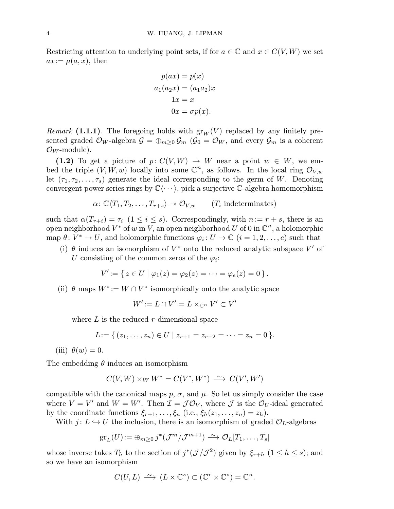Restricting attention to underlying point sets, if for  $a \in \mathbb{C}$  and  $x \in C(V, W)$  we set  $ax := \mu(a, x)$ , then

$$
p(ax) = p(x)
$$
  
\n
$$
a_1(a_2x) = (a_1a_2)x
$$
  
\n
$$
1x = x
$$
  
\n
$$
0x = \sigma p(x).
$$

*Remark* (1.1.1). The foregoing holds with  $gr_W(V)$  replaced by any finitely presented graded  $\mathcal{O}_W$ -algebra  $\mathcal{G} = \bigoplus_{m>0} \mathcal{G}_m$  ( $\mathcal{G}_0 = \mathcal{O}_W$ , and every  $\mathcal{G}_m$  is a coherent  $\mathcal{O}_W$ -module).

(1.2) To get a picture of  $p: C(V, W) \rightarrow W$  near a point  $w \in W$ , we embed the triple  $(V, W, w)$  locally into some  $\mathbb{C}^n$ , as follows. In the local ring  $\mathcal{O}_{V,w}$ let  $(\tau_1, \tau_2, \ldots, \tau_s)$  generate the ideal corresponding to the germ of W. Denoting convergent power series rings by  $\mathbb{C}\langle \cdots \rangle$ , pick a surjective C-algebra homomorphism

$$
\alpha\colon \mathbb{C}\langle T_1, T_2, \ldots, T_{r+s}\rangle \twoheadrightarrow \mathcal{O}_{V,w} \qquad (T_i \text{ indeterminates})
$$

such that  $\alpha(T_{r+i}) = \tau_i$   $(1 \leq i \leq s)$ . Correspondingly, with  $n := r + s$ , there is an open neighborhood  $V^*$  of w in V, an open neighborhood U of 0 in  $\mathbb{C}^n$ , a holomorphic map  $\theta \colon V^* \to U$ , and holomorphic functions  $\varphi_i \colon U \to \mathbb{C}$   $(i = 1, 2, \ldots, e)$  such that

(i)  $\theta$  induces an isomorphism of  $V^*$  onto the reduced analytic subspace V' of U consisting of the common zeros of the  $\varphi_i$ :

$$
V' := \{ z \in U \mid \varphi_1(z) = \varphi_2(z) = \cdots = \varphi_e(z) = 0 \}.
$$

(ii)  $\theta$  maps  $W^* := W \cap V^*$  isomorphically onto the analytic space

 $W' \mathbin{:=} L \cap V' = L \times_{\mathbb{C}^n} V' \subset V'$ 

where  $L$  is the reduced r-dimensional space

$$
L:=\{ (z_1,\ldots,z_n)\in U \mid z_{r+1}=z_{r+2}=\cdots=z_n=0\}.
$$

(iii)  $\theta(w) = 0$ .

The embedding  $\theta$  induces an isomorphism

$$
C(V,W) \times_W W^* = C(V^*,W^*) \stackrel{\sim}{\longrightarrow} C(V',W')
$$

compatible with the canonical maps  $p, \sigma$ , and  $\mu$ . So let us simply consider the case where  $V = V'$  and  $W = W'$ . Then  $\mathcal{I} = \mathcal{J} \mathcal{O}_V$ , where  $\mathcal{J}$  is the  $\mathcal{O}_U$ -ideal generated by the coordinate functions  $\xi_{r+1},\ldots,\xi_n$  (i.e.,  $\xi_h(z_1,\ldots,z_n) = z_h$ ).

With  $j: L \hookrightarrow U$  the inclusion, there is an isomorphism of graded  $\mathcal{O}_L$ -algebras

$$
\operatorname{gr}_L(U) := \oplus_{m \geq 0} j^*(\mathcal{J}^m/\mathcal{J}^{m+1}) \stackrel{\sim}{\longrightarrow} \mathcal{O}_L[T_1,\ldots,T_s]
$$

whose inverse takes  $T_h$  to the section of  $j^*(\mathcal{J}/\mathcal{J}^2)$  given by  $\xi_{r+h}$   $(1 \leq h \leq s)$ ; and so we have an isomorphism

$$
C(U,L) \stackrel{\sim}{\longrightarrow} (L \times \mathbb{C}^s) \subset (\mathbb{C}^r \times \mathbb{C}^s) = \mathbb{C}^n.
$$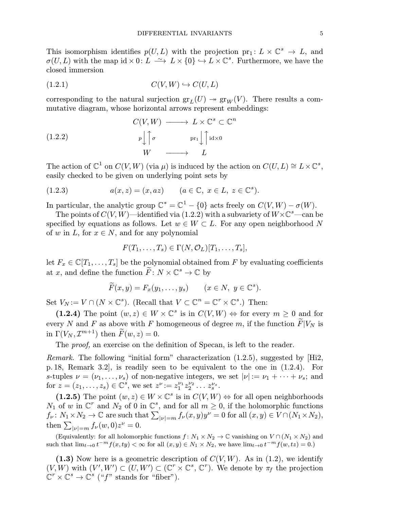This isomorphism identifies  $p(U, L)$  with the projection  $pr_1: L \times \mathbb{C}^s \to L$ , and  $\sigma(U, L)$  with the map  $\mathrm{id} \times 0: L \longrightarrow L \times \{0\} \hookrightarrow L \times \mathbb{C}^s$ . Furthermore, we have the closed immersion

$$
(1.2.1) \tC(V,W) \hookrightarrow C(U,L)
$$

corresponding to the natural surjection  $gr_L(U) \twoheadrightarrow gr_W(V)$ . There results a commutative diagram, whose horizontal arrows represent embeddings:

(1.2.2)  
\n
$$
C(V, W) \longrightarrow L \times \mathbb{C}^s \subset \mathbb{C}^n
$$
\n
$$
p \downarrow \uparrow \sigma \qquad \text{pr}_1 \downarrow \uparrow id \times 0
$$
\n
$$
W \longrightarrow L
$$

The action of  $\mathbb{C}^1$  on  $C(V, W)$  (via  $\mu$ ) is induced by the action on  $C(U, L) \cong L \times \mathbb{C}^s$ , easily checked to be given on underlying point sets by

(1.2.3) 
$$
a(x,z) = (x, az) \qquad (a \in \mathbb{C}, x \in L, z \in \mathbb{C}^s).
$$

In particular, the analytic group  $\mathbb{C}^* = \mathbb{C}^1 - \{0\}$  acts freely on  $C(V, W) - \sigma(W)$ .

The points of  $C(V,W)$ —identified via  $(1.2.2)$  with a subvariety of  $W{\times}\mathbb{C}^s$ —can be specified by equations as follows. Let  $w \in W \subset L$ . For any open neighborhood N of w in L, for  $x \in N$ , and for any polynomial

$$
F(T_1,\ldots,T_s)\in \Gamma(N,\mathcal{O}_L)[T_1,\ldots,T_s],
$$

let  $F_x \in \mathbb{C}[T_1,\ldots,T_s]$  be the polynomial obtained from F by evaluating coefficients at x, and define the function  $\widetilde{F}: N \times \mathbb{C}^s \to \mathbb{C}$  by

$$
\widetilde{F}(x,y) = F_x(y_1,\ldots,y_s) \qquad (x \in N, \ y \in \mathbb{C}^s).
$$

Set  $V_N := V \cap (N \times \mathbb{C}^s)$ . (Recall that  $V \subset \mathbb{C}^n = \mathbb{C}^r \times \mathbb{C}^s$ .) Then:

(1.2.4) The point  $(w, z) \in W \times \mathbb{C}^s$  is in  $C(V, W) \Leftrightarrow$  for every  $m > 0$  and for every N and F as above with F homogeneous of degree  $m$ , if the function  $\widetilde{F}|V_N$  is in  $\Gamma(V_N, \mathcal{I}^{m+1})$  then  $\widetilde{F}(w, z)=0$ .

The proof, an exercise on the definition of Specan, is left to the reader.

*Remark.* The following "initial form" characterization  $(1.2.5)$ , suggested by  $[Hi2]$ , p. 18, Remark 3.2], is readily seen to be equivalent to the one in (1.2.4). For s-tuples  $\nu = (\nu_1, \ldots, \nu_s)$  of non-negative integers, we set  $|\nu| := \nu_1 + \cdots + \nu_s$ ; and for  $z = (z_1, \ldots, z_s) \in \mathbb{C}^s$ , we set  $z^{\nu} := z_1^{\nu_1} z_2^{\nu_2} \ldots z_s^{\nu_s}$ .

(1.2.5) The point  $(w, z) \in W \times \mathbb{C}^s$  is in  $C(V, W) \Leftrightarrow$  for all open neighborhoods  $N_1$  of w in  $\mathbb{C}^r$  and  $N_2$  of 0 in  $\mathbb{C}^s$ , and for all  $m \geq 0$ , if the holomorphic functions  $f_{\nu} \colon N_1 \times N_2 \to \mathbb{C}$  are such that  $\sum_{|\nu|=m} f_{\nu}(x, y)y^{\nu} = 0$  for all  $(x, y) \in V \cap (N_1 \times N_2)$ , then  $\sum_{|\nu|=m} f_{\nu}(w, 0) z^{\nu} = 0.$ 

(Equivalently: for all holomorphic functions  $f: N_1 \times N_2 \to \mathbb{C}$  vanishing on  $V \cap (N_1 \times N_2)$  and such that  $\lim_{t\to 0} t^{-m}f(x, ty) < \infty$  for all  $(x, y) \in N_1 \times N_2$ , we have  $\lim_{t\to 0} t^{-m}f(w, tz) = 0$ .)

(1.3) Now here is a geometric description of  $C(V,W)$ . As in (1.2), we identify  $(V, W)$  with  $(V', W') \subset (U, W') \subset (\mathbb{C}^r \times \mathbb{C}^s, \mathbb{C}^r)$ . We denote by  $\pi_f$  the projection  $\mathbb{C}^r \times \mathbb{C}^s \to \mathbb{C}^s$  ("f" stands for "fiber").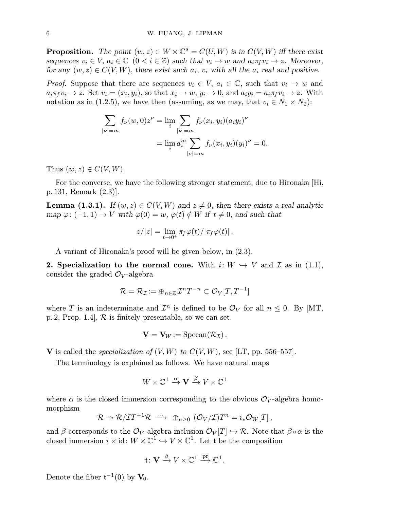**Proposition.** The point  $(w, z) \in W \times \mathbb{C}^s = C(U, W)$  is in  $C(V, W)$  iff there exist sequences  $v_i \in V$ ,  $a_i \in \mathbb{C}$   $(0 \lt i \in \mathbb{Z})$  such that  $v_i \to w$  and  $a_i \pi_f v_i \to z$ . Moreover, for any  $(w, z) \in C(V, W)$ , there exist such  $a_i$ ,  $v_i$  with all the  $a_i$  real and positive.

*Proof.* Suppose that there are sequences  $v_i \in V$ ,  $a_i \in \mathbb{C}$ , such that  $v_i \to w$  and  $a_i\pi_f v_i \to z$ . Set  $v_i = (x_i, y_i)$ , so that  $x_i \to w$ ,  $y_i \to 0$ , and  $a_i y_i = a_i\pi_f v_i \to z$ . With notation as in (1.2.5), we have then (assuming, as we may, that  $v_i \in N_1 \times N_2$ ):

$$
\sum_{|\nu|=m} f_{\nu}(w,0)z^{\nu} = \lim_{i} \sum_{|\nu|=m} f_{\nu}(x_i, y_i)(a_i y_i)^{\nu}
$$

$$
= \lim_{i} a_i^{m} \sum_{|\nu|=m} f_{\nu}(x_i, y_i)(y_i)^{\nu} = 0.
$$

Thus  $(w, z) \in C(V, W)$ .

For the converse, we have the following stronger statement, due to Hironaka |Hi, p. 131, Remark (2.3)].

**Lemma (1.3.1).** If  $(w, z) \in C(V, W)$  and  $z \neq 0$ , then there exists a real analytic map  $\varphi: (-1,1) \to V$  with  $\varphi(0) = w$ ,  $\varphi(t) \notin W$  if  $t \neq 0$ , and such that

$$
z/|z| = \lim_{t\to 0^+} \pi_f \varphi(t) / |\pi_f \varphi(t)|.
$$

A variant of Hironaka's proof will be given below, in (2.3).

2. Specialization to the normal cone. With  $i: W \hookrightarrow V$  and  $\mathcal I$  as in (1.1), consider the graded  $\mathcal{O}_V$ -algebra

$$
\mathcal{R} = \mathcal{R}_{\mathcal{I}} := \oplus_{n \in \mathbb{Z}} \mathcal{I}^n T^{-n} \subset \mathcal{O}_V[T, T^{-1}]
$$

where T is an indeterminate and  $\mathcal{I}^n$  is defined to be  $\mathcal{O}_V$  for all  $n \leq 0$ . By [MT, p. 2, Prop. 1.4,  $\mathcal R$  is finitely presentable, so we can set

$$
\mathbf{V}=\mathbf{V}_W:=\mathrm{Specan}(\mathcal{R}_\mathcal{I})\,.
$$

V is called the *specialization of*  $(V, W)$  to  $C(V, W)$ , see [LT, pp. 556–557].

The terminology is explained as follows. We have natural maps

$$
W \times \mathbb{C}^1 \xrightarrow{\alpha} \mathbf{V} \xrightarrow{\beta} V \times \mathbb{C}^1
$$

where  $\alpha$  is the closed immersion corresponding to the obvious  $\mathcal{O}_V$ -algebra homomorphism

$$
\mathcal{R} \twoheadrightarrow \mathcal{R} / \mathcal{I} T^{-1} \mathcal{R} \ \stackrel{\sim}{\longrightarrow} \ \oplus_{n \geq 0} \ (\mathcal{O}_V / \mathcal{I}) T^n = i_* \mathcal{O}_W [T] \, ,
$$

and  $\beta$  corresponds to the  $\mathcal{O}_V$ -algebra inclusion  $\mathcal{O}_V[T] \hookrightarrow \mathcal{R}$ . Note that  $\beta \circ \alpha$  is the closed immersion  $i \times id$ :  $W \times \mathbb{C}^1 \hookrightarrow V \times \mathbb{C}^1$ . Let t be the composition

$$
\mathfrak{t} \colon \mathbf{V} \xrightarrow{\beta} V \times \mathbb{C}^1 \xrightarrow{\text{pr}} \mathbb{C}^1.
$$

Denote the fiber  $\mathfrak{t}^{-1}(0)$  by  $\mathbf{V}_0$ .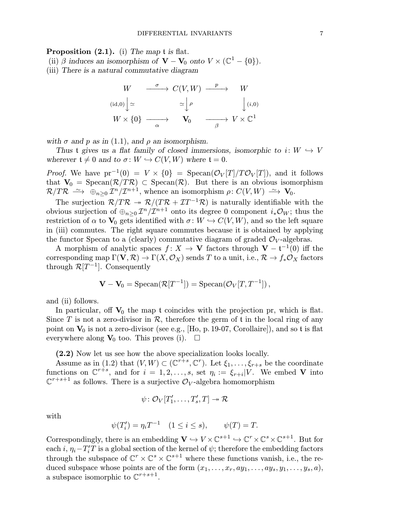Proposition  $(2.1)$ . (i) The map t is flat.

(ii)  $\beta$  induces an isomorphism of  $\mathbf{V} - \mathbf{V}_0$  onto  $V \times (\mathbb{C}^1 - \{0\})$ . (iii) There is a natural commutative diagram

$$
W \xrightarrow{\sigma} C(V, W) \xrightarrow{\ p} W
$$
  
\n
$$
(id,0) \Big| \simeq \Bigg| \begin{array}{c} \rho \\ \simeq \\ W \end{array} \Bigg| \begin{array}{c} \rho \\ \downarrow \\ \downarrow \end{array} \Bigg| \begin{array}{c} \downarrow \\ (i,0) \\ W \end{array}
$$
  
\n
$$
W \times \{0\} \xrightarrow{\alpha} \mathbf{V}_0 \xrightarrow{\beta} V \times \mathbb{C}^1
$$

with  $\sigma$  and  $p$  as in (1.1), and  $\rho$  an isomorphism.

Thus t gives us a flat family of closed immersions, isomorphic to  $i: W \hookrightarrow V$ wherever  $\mathfrak{t} \neq 0$  and to  $\sigma : W \hookrightarrow C(V,W)$  where  $\mathfrak{t} = 0$ .

*Proof.* We have  $pr^{-1}(0) = V \times \{0\} = \text{Specan}(\mathcal{O}_V[T]/T\mathcal{O}_V[T])$ , and it follows that  $V_0 = \text{Specan}(\mathcal{R}/T\mathcal{R}) \subset \text{Specan}(\mathcal{R})$ . But there is an obvious isomorphism  $\mathcal{R}/T\mathcal{R} \longrightarrow \bigoplus_{n>0} \mathcal{I}^n/\mathcal{I}^{n+1}$ , whence an isomorphism  $\rho: C(V,W) \longrightarrow V_0$ .

The surjection  $\mathcal{R}/T\mathcal{R} \rightarrow \mathcal{R}/(T\mathcal{R} + T\mathcal{I}^{-1}\mathcal{R})$  is naturally identifiable with the obvious surjection of  $\bigoplus_{n>0} \mathcal{I}^n/\mathcal{I}^{n+1}$  onto its degree 0 component  $i_*\mathcal{O}_W$ ; thus the restriction of  $\alpha$  to  $V_0$  gets identified with  $\sigma: W \hookrightarrow C(V,W)$ , and so the left square in (iii) commutes. The right square commutes because it is obtained by applying the functor Specan to a (clearly) commutative diagram of graded  $\mathcal{O}_V$ -algebras.

A morphism of analytic spaces  $f: X \to V$  factors through  $V - t^{-1}(0)$  iff the corresponding map  $\Gamma(V, \mathcal{R}) \to \Gamma(X, \mathcal{O}_X)$  sends T to a unit, i.e.,  $\mathcal{R} \to f_* \mathcal{O}_X$  factors through  $\mathcal{R}[T^{-1}]$ . Consequently

$$
\mathbf{V} - \mathbf{V}_0 = \mathrm{Specan}(\mathcal{R}[T^{-1}]) = \mathrm{Specan}(\mathcal{O}_V[T, T^{-1}]),
$$

and (ii) follows.

In particular, off  $V_0$  the map t coincides with the projection pr, which is flat. Since T is not a zero-divisor in  $\mathcal{R}$ , therefore the germ of t in the local ring of any point on  $V_0$  is not a zero-divisor (see e.g., [Ho, p. 19-07, Corollaire]), and so t is flat everywhere along  $V_0$  too. This proves (i).  $\Box$ 

(2.2) Now let us see how the above specialization looks locally.

Assume as in (1.2) that  $(V, W) \subset (\mathbb{C}^{r+s}, \mathbb{C}^r)$ . Let  $\xi_1, \ldots, \xi_{r+s}$  be the coordinate functions on  $\mathbb{C}^{r+s}$ , and for  $i = 1, 2, \ldots, s$ , set  $\eta_i := \xi_{r+i}|V$ . We embed V into  $\mathbb{C}^{r+s+1}$  as follows. There is a surjective  $\mathcal{O}_V$ -algebra homomorphism

$$
\psi\colon \mathcal{O}_V[T'_1,\ldots,T'_s,T]\twoheadrightarrow \mathcal{R}
$$

with

$$
\psi(T'_i) = \eta_i T^{-1} \quad (1 \le i \le s), \qquad \psi(T) = T.
$$

Correspondingly, there is an embedding  $\mathbf{V} \hookrightarrow V \times \mathbb{C}^{s+1} \hookrightarrow \mathbb{C}^r \times \mathbb{C}^s \times \mathbb{C}^{s+1}$ . But for each  $i, \eta_i - T'_iT$  is a global section of the kernel of  $\psi$ ; therefore the embedding factors through the subspace of  $\mathbb{C}^r \times \mathbb{C}^s \times \mathbb{C}^{s+1}$  where these functions vanish, i.e., the reduced subspace whose points are of the form  $(x_1, \ldots, x_r, ay_1, \ldots, ay_s, y_1, \ldots, y_s, a)$ , a subspace isomorphic to  $\mathbb{C}^{r+s+1}$ .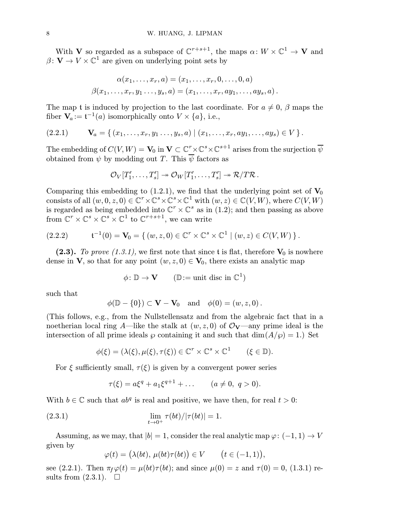With **V** so regarded as a subspace of  $\mathbb{C}^{r+s+1}$ , the maps  $\alpha: W \times \mathbb{C}^1 \to \mathbf{V}$  and  $\beta: V \to V \times \mathbb{C}^1$  are given on underlying point sets by

$$
\alpha(x_1,\ldots,x_r,a)=(x_1,\ldots,x_r,0,\ldots,0,a)
$$
  

$$
\beta(x_1,\ldots,x_r,y_1\ldots,y_s,a)=(x_1,\ldots,x_r,ay_1,\ldots,ay_s,a).
$$

The map t is induced by projection to the last coordinate. For  $a \neq 0$ ,  $\beta$  maps the fiber  $V_a := t^{-1}(a)$  isomorphically onto  $V \times \{a\}$ , i.e.,

$$
(2.2.1) \t\t \mathbf{V}_a = \{ (x_1, \ldots, x_r, y_1 \ldots, y_s, a) \mid (x_1, \ldots, x_r, ay_1, \ldots, ay_s) \in V \}.
$$

The embedding of  $C(V,W)=\mathbf{V}_0$  in  $\mathbf{V}\subset\mathbb{C}^r\!\times\!\mathbb{C}^s\!\times\!\mathbb{C}^{s+1}$  arises from the surjection  $\overline{\psi}$ obtained from  $\psi$  by modding out T. This  $\overline{\psi}$  factors as

$$
\mathcal{O}_V[T'_1,\ldots,T'_s]\twoheadrightarrow \mathcal{O}_W[T'_1,\ldots,T'_s]\twoheadrightarrow \mathcal{R}/T\mathcal{R}.
$$

Comparing this embedding to (1.2.1), we find that the underlying point set of  $V_0$ consists of all  $(w, 0, z, 0) \in \mathbb{C}^r \times \mathbb{C}^s \times \mathbb{C}^s \times \mathbb{C}^1$  with  $(w, z) \in \mathbb{C}(V, W)$ , where  $C(V, W)$ is regarded as being embedded into  $\mathbb{C}^r \times \mathbb{C}^s$  as in  $(1.2)$ ; and then passing as above from  $\mathbb{C}^r \times \mathbb{C}^s \times \mathbb{C}^s \times \mathbb{C}^1$  to  $\mathbb{C}^{r+s+1}$ , we can write

$$
(2.2.2) \t t^{-1}(0) = \mathbf{V}_0 = \{ (w, z, 0) \in \mathbb{C}^r \times \mathbb{C}^s \times \mathbb{C}^1 \mid (w, z) \in C(V, W) \}.
$$

(2.3). To prove (1.3.1), we first note that since t is flat, therefore  $V_0$  is nowhere dense in **V**, so that for any point  $(w, z, 0) \in V_0$ , there exists an analytic map

$$
\phi \colon \mathbb{D} \to \mathbf{V} \qquad (\mathbb{D} := \text{unit disc in } \mathbb{C}^1)
$$

such that

$$
\phi(\mathbb{D} - \{0\}) \subset \mathbf{V} - \mathbf{V}_0 \quad \text{and} \quad \phi(0) = (w, z, 0).
$$

(This follows, e.g., from the Nullstellensatz and from the algebraic fact that in a noetherian local ring A—like the stalk at  $(w, z, 0)$  of  $\mathcal{O}_{V}$ —any prime ideal is the intersection of all prime ideals  $\wp$  containing it and such that  $\dim(A/\wp) = 1$ .) Set

$$
\phi(\xi) = (\lambda(\xi), \mu(\xi), \tau(\xi)) \in \mathbb{C}^r \times \mathbb{C}^s \times \mathbb{C}^1 \qquad (\xi \in \mathbb{D}).
$$

For  $\xi$  sufficiently small,  $\tau(\xi)$  is given by a convergent power series

$$
\tau(\xi) = a\xi^{q} + a_1\xi^{q+1} + \dots \qquad (a \neq 0, \ q > 0).
$$

With  $b \in \mathbb{C}$  such that  $ab^q$  is real and positive, we have then, for real  $t > 0$ :

(2.3.1) 
$$
\lim_{t \to 0^+} \tau(bt)/|\tau(bt)| = 1.
$$

Assuming, as we may, that  $|b| = 1$ , consider the real analytic map  $\varphi: (-1, 1) \to V$ given by

$$
\varphi(t) = (\lambda(bt), \mu(bt)\tau(bt)) \in V \qquad \big(t \in (-1, 1)\big),
$$

see (2.2.1). Then  $\pi_f \varphi(t) = \mu(bt) \tau(bt)$ ; and since  $\mu(0) = z$  and  $\tau(0) = 0$ , (1.3.1) results from  $(2.3.1)$ .  $\Box$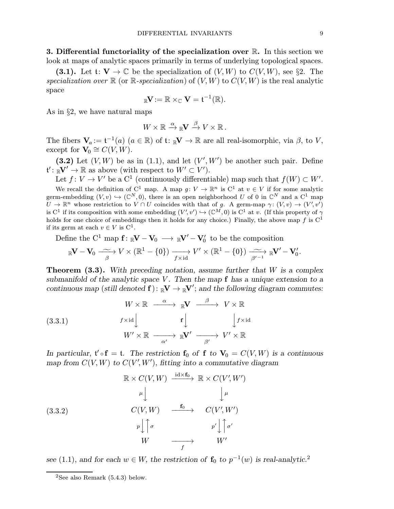**3. Differential functoriality of the specialization over**  $\mathbb{R}$ **.** In this section we look at maps of analytic spaces primarily in terms of underlying topological spaces.

(3.1). Let  $\mathfrak{t}: \mathbf{V} \to \mathbb{C}$  be the specialization of  $(V, W)$  to  $C(V, W)$ , see §2. The specialization over  $\mathbb R$  (or  $\mathbb R$ -specialization) of  $(V, W)$  to  $C(V, W)$  is the real analytic space

$$
_{\mathbb{R}}\mathbf{V}:=\mathbb{R}\times_{\mathbb{C}}\mathbf{V}=\mathfrak{t}^{-1}(\mathbb{R}).
$$

As in §2, we have natural maps

$$
W \times \mathbb{R} \xrightarrow{\alpha} \mathbb{R} V \xrightarrow{\beta} V \times \mathbb{R}.
$$

The fibers  $\mathbf{V}_a := \mathfrak{t}^{-1}(a)$   $(a \in \mathbb{R})$  of  $\mathfrak{t} \colon \mathbb{R}^{\mathbf{V}} \to \mathbb{R}$  are all real-isomorphic, via  $\beta$ , to  $V$ , except for  $V_0 \cong C(V,W)$ .

(3.2) Let  $(V, W)$  be as in (1.1), and let  $(V', W')$  be another such pair. Define  $\mathfrak{t}' : \mathbb{R}V' \to \mathbb{R}$  as above (with respect to  $W' \subset V'$ ).

Let  $f: V \to V'$  be a C<sup>1</sup> (continuously differentiable) map such that  $f(W) \subset W'$ . We recall the definition of C<sup>1</sup> map. A map  $g: V \to \mathbb{R}^n$  is C<sup>1</sup> at  $v \in V$  if for some analytic germ-embedding  $(V, v) \hookrightarrow (\mathbb{C}^N, 0)$ , there is an open neighborhood U of 0 in  $\mathbb{C}^N$  and a  $\mathbb{C}^1$  map  $U \to \mathbb{R}^n$  whose restriction to  $V \cap U$  coincides with that of g. A germ-map  $\gamma: (V, v) \to (V', v')$ is  $C^1$  if its composition with some embedding  $(V', v') \hookrightarrow (\mathbb{C}^M, 0)$  is  $C^1$  at v. (If this property of  $\gamma$ holds for one choice of embeddings then it holds for any choice.) Finally, the above map f is  $C^1$ if its germ at each  $v \in V$  is  $C^1$ .

Define the  $C^1$  map  $f: \mathbb{R}^V - V_0 \longrightarrow \mathbb{R}^{V'} - V'_0$  to be the composition

$$
{}_{\mathbb{R}}\mathbf{V}-\mathbf{V}_0 \stackrel{\sim}{\longrightarrow} V \times (\mathbb{R}^1-\{0\}) \xrightarrow[f\times \mathrm{id}]{f\times \mathrm{id}} V' \times (\mathbb{R}^1-\{0\}) \xrightarrow[\beta'^{-1}]{}_{\mathbb{R}}\mathbf{V}'-\mathbf{V}'_0.
$$

**Theorem (3.3).** With preceding notation, assume further that  $W$  is a complex submanifold of the analytic space V. Then the map  $f$  has a unique extension to a continuous map (still denoted  $f$ ):  ${}_{\mathbb{R}}V \to {}_{\mathbb{R}}V'$ ; and the following diagram commutes:

(3.3.1) 
$$
W \times \mathbb{R} \xrightarrow{\alpha} \mathbb{R} \mathbf{V} \xrightarrow{\beta} V \times \mathbb{R}
$$

$$
f \times id \downarrow \qquad \qquad f \downarrow \qquad \qquad f \downarrow \qquad \qquad f \times id
$$

$$
W' \times \mathbb{R} \xrightarrow{\alpha'} \mathbb{R} \mathbf{V'} \xrightarrow{\beta'} V' \times \mathbb{R}
$$

In particular,  $\mathfrak{t}' \circ \mathbf{f} = \mathfrak{t}$ . The restriction  $\mathbf{f}_0$  of  $\mathbf{f}$  to  $\mathbf{V}_0 = C(V, W)$  is a continuous map from  $C(V, W)$  to  $C(V', W')$ , fitting into a commutative diagram

(3.3.2)  
\n
$$
\mathbb{R} \times C(V, W) \xrightarrow{\operatorname{id} \times \mathbf{f}_0} \mathbb{R} \times C(V', W')
$$
\n
$$
\xrightarrow{\mu} \qquad \qquad \downarrow \mu
$$
\n
$$
C(V, W) \xrightarrow{\mathbf{f}_0} \qquad C(V', W')
$$
\n
$$
\xrightarrow{p} \qquad \qquad \uparrow \uparrow \qquad \qquad p' \qquad \uparrow \uparrow \sigma'
$$
\n
$$
W \qquad \longrightarrow \qquad W'
$$

see (1.1), and for each  $w \in W$ , the restriction of  $\mathbf{f}_0$  to  $p^{-1}(w)$  is real-analytic.<sup>2</sup>

<sup>&</sup>lt;sup>2</sup>See also Remark  $(5.4.3)$  below.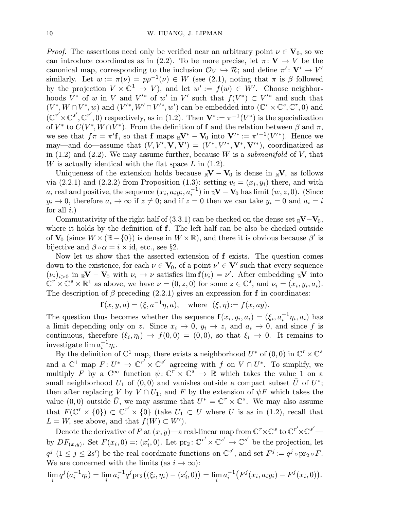*Proof.* The assertions need only be verified near an arbitrary point  $\nu \in V_0$ , so we can introduce coordinates as in (2.2). To be more precise, let  $\pi: V \to V$  be the canonical map, corresponding to the inclusion  $\mathcal{O}_V \hookrightarrow \mathcal{R}$ ; and define  $\pi' : V' \to V'$ similarly. Let  $w := \pi(\nu) = p\rho^{-1}(\nu) \in W$  (see (2.1), noting that  $\pi$  is  $\beta$  followed by the projection  $V \times \mathbb{C}^1 \to V$ , and let  $w' := f(w) \in W'$ . Choose neighborhoods  $V^*$  of w in V and  $V'^*$  of w' in V' such that  $f(V^*)\subset V'^*$  and such that  $(V^*, W \cap V^*, w)$  and  $(V'^*, W' \cap V'^*, w')$  can be embedded into  $(\mathbb{C}^r \times \mathbb{C}^s, \mathbb{C}^r, 0)$  and  $(\mathbb{C}^{r'}\times\mathbb{C}^{s'}, \mathbb{C}^{r'}, 0)$  respectively, as in (1.2). Then  $\mathbf{V}^* := \pi^{-1}(V^*)$  is the specialization of  $V^*$  to  $C(V^*, W \cap V^*)$ . From the definition of f and the relation between  $\beta$  and  $\pi$ , we see that  $f\pi = \pi'$ **f**, so that **f** maps  $\mathbb{R}V^* - V_0$  into  $V'^* := \pi'^{-1}(V'^*)$ . Hence we may—and do—assume that  $(V, V', V, V') = (V^*, V'^*, V^*, V'^*)$ , coordinatized as in  $(1.2)$  and  $(2.2)$ . We may assume further, because W is a *submanifold* of V, that W is actually identical with the flat space  $L$  in (1.2).

Uniqueness of the extension holds because  $\mathbb{R}V - V_0$  is dense in  $\mathbb{R}V$ , as follows via  $(2.2.1)$  and  $(2.2.2)$  from Proposition  $(1.3)$ : setting  $v_i = (x_i, y_i)$  there, and with  $a_i$  real and positive, the sequence  $(x_i, a_i y_i, a_i^{-1})$  in  $_{\mathbb{R}}\mathbf{V}-\mathbf{V}_0$  has limit  $(w, z, 0)$ . (Since  $y_i \to 0$ , therefore  $a_i \to \infty$  if  $z \neq 0$ ; and if  $z = 0$  then we can take  $y_i = 0$  and  $a_i = i$ for all  $i$ .)

Commutativity of the right half of (3.3.1) can be checked on the dense set  $\mathbb{R}V-V_0$ , where it holds by the definition of **f**. The left half can be also be checked outside of  $V_0$  (since  $W \times (\mathbb{R} - \{0\})$ ) is dense in  $W \times \mathbb{R}$ ), and there it is obvious because  $\beta'$  is bijective and  $\beta \circ \alpha = i \times id$ , etc., see §2.

Now let us show that the asserted extension of f exists. The question comes down to the existence, for each  $\nu \in V_0$ , of a point  $\nu' \in V'$  such that every sequence  $(\nu_i)_{i>0}$  in  $\mathbb{R}V - V_0$  with  $\nu_i \to \nu$  satisfies  $\lim_{i \to \infty} f(\nu_i) = \nu'$ . After embedding  $\mathbb{R}V$  into  $\mathbb{C}^r \times \mathbb{C}^s \times \mathbb{R}^1$  as above, we have  $\nu = (0, z, 0)$  for some  $z \in \mathbb{C}^s$ , and  $\nu_i = (x_i, y_i, a_i)$ . The description of  $\beta$  preceding (2.2.1) gives an expression for f in coordinates:

 $f(x, y, a) = (\xi, a^{-1}\eta, a), \text{ where } (\xi, \eta) := f(x, ay).$ 

The question thus becomes whether the sequence  $f(x_i, y_i, a_i) = (\xi_i, a_i^{-1}\eta_i, a_i)$  has a limit depending only on z. Since  $x_i \to 0$ ,  $y_i \to z$ , and  $a_i \to 0$ , and since f is continuous, therefore  $(\xi_i, \eta_i) \to f(0, 0) = (0, 0)$ , so that  $\xi_i \to 0$ . It remains to investigate  $\lim a_i^{-1}\eta_i$ .

By the definition of  $C^1$  map, there exists a neighborhood  $U^*$  of  $(0,0)$  in  $\mathbb{C}^r \times \mathbb{C}^s$ and a  $C^1$  map  $F: U^* \to \mathbb{C}^{r'} \times \mathbb{C}^{s'}$  agreeing with f on  $V \cap U^*$ . To simplify, we multiply F by a  $C^{\infty}$  function  $\psi: \mathbb{C}^r \times \mathbb{C}^s \to \mathbb{R}$  which takes the value 1 on a small neighborhood  $U_1$  of  $(0,0)$  and vanishes outside a compact subset  $\overline{U}$  of  $U^*$ ; then after replacing V by  $V \cap U_1$ , and F by the extension of  $\psi F$  which takes the value  $(0,0)$  outside  $\overline{U}$ , we may assume that  $U^* = \mathbb{C}^r \times \mathbb{C}^s$ . We may also assume that  $F(\mathbb{C}^r \times \{0\}) \subset \mathbb{C}^{r'} \times \{0\}$  (take  $U_1 \subset U$  where U is as in (1.2), recall that  $L = W$ , see above, and that  $f(W) \subset W'$ .

Denote the derivative of  $F$  at  $(x,y)$ —a real-linear map from  $\mathbb{C}^r\times\mathbb{C}^s$  to  $\mathbb{C}^{r'}\!\!\times\!\mathbb{C}^{s'}$  by  $DF_{(x,y)}$ . Set  $F(x_i, 0) =: (x'_i, 0)$ . Let  $\text{pr}_2: \mathbb{C}^{r'} \times \mathbb{C}^{s'} \to \mathbb{C}^{s'}$  be the projection, let  $q^j$   $(1 \leq j \leq 2s')$  be the real coordinate functions on  $\mathbb{C}^{s'}$ , and set  $F^j := q^j \circ \text{pr}_2 \circ F$ . We are concerned with the limits (as  $i \to \infty$ ):

$$
\lim_{i} q^{j}(a_{i}^{-1}\eta_{i}) = \lim_{i} a_{i}^{-1} q^{j} \mathrm{pr}_{2}((\xi_{i}, \eta_{i}) - (x'_{i}, 0)) = \lim_{i} a_{i}^{-1}(F^{j}(x_{i}, a_{i}y_{i}) - F^{j}(x_{i}, 0)).
$$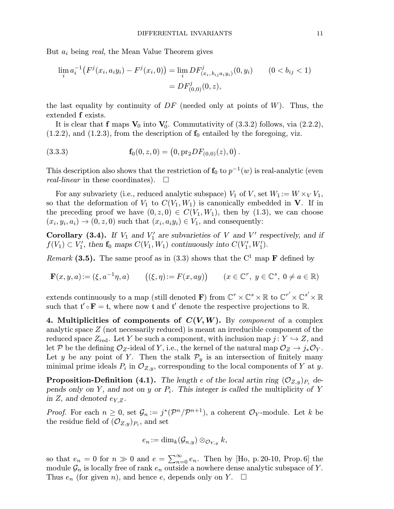But  $a_i$  being real, the Mean Value Theorem gives

$$
\lim_{i} a_i^{-1} \big( F^j(x_i, a_i y_i) - F^j(x_i, 0) \big) = \lim_{i} DF^j(x_i, b_{ij} a_i y_i) (0, y_i) \qquad (0 < b_{ij} < 1)
$$

$$
= DF^j(0, 0) (0, z),
$$

the last equality by continuity of  $DF$  (needed only at points of W). Thus, the extended f exists.

It is clear that  $f$  maps  $V_0$  into  $V'_0$ . Commutativity of (3.3.2) follows, via (2.2.2),  $(1.2.2)$ , and  $(1.2.3)$ , from the description of  $f_0$  entailed by the foregoing, viz.

(3.3.3) 
$$
\mathbf{f}_0(0, z, 0) = (0, pr_2 DF_{(0,0)}(z), 0).
$$

This description also shows that the restriction of  $f_0$  to  $p^{-1}(w)$  is real-analytic (even real-linear in these coordinates).  $\Box$ 

For any subvariety (i.e., reduced analytic subspace)  $V_1$  of V, set  $W_1 := W \times_V V_1$ , so that the deformation of  $V_1$  to  $C(V_1, W_1)$  is canonically embedded in **V**. If in the preceding proof we have  $(0, z, 0) \in C(V_1, W_1)$ , then by  $(1.3)$ , we can choose  $(x_i, y_i, a_i) \rightarrow (0, z, 0)$  such that  $(x_i, a_i y_i) \in V_1$ , and consequently:

Corollary (3.4). If  $V_1$  and  $V'_1$  are subvarieties of V and V' respectively, and if  $f(V_1) \subset V_1'$ , then  $\mathbf{f}_0$  maps  $C(V_1, W_1)$  continuously into  $C(V_1', W_1')$ .

*Remark* (3.5). The same proof as in (3.3) shows that the  $C^1$  map **F** defined by

$$
\mathbf{F}(x,y,a) := (\xi, a^{-1}\eta, a) \qquad ((\xi, \eta) := F(x, ay)) \qquad (x \in \mathbb{C}^r, y \in \mathbb{C}^s, 0 \neq a \in \mathbb{R})
$$

extends continuously to a map (still denoted  $\mathbf{F})$  from  $\mathbb{C}^r \times \mathbb{C}^s \times \mathbb{R}$  to  $\mathbb{C}^{r'} \times \mathbb{C}^{s'} \times \mathbb{R}$ such that  $\mathfrak{t}' \circ \mathbf{F} = \mathfrak{t}$ , where now  $\mathfrak{t}$  and  $\mathfrak{t}'$  denote the respective projections to  $\mathbb{R}$ .

4. Multiplicities of components of  $C(V,W)$ . By *component* of a complex analytic space Z (not necessarily reduced) is meant an irreducible component of the reduced space  $Z_{\text{red}}$ . Let Y be such a component, with inclusion map  $j: Y \hookrightarrow Z$ , and let P be the defining  $\mathcal{O}_Z$ -ideal of Y, i.e., the kernel of the natural map  $\mathcal{O}_Z \to j_* \mathcal{O}_Y$ . Let y be any point of Y. Then the stalk  $\mathcal{P}_y$  is an intersection of finitely many minimal prime ideals  $P_i$  in  $\mathcal{O}_{Z,y}$ , corresponding to the local components of Y at y.

**Proposition-Definition (4.1).** The length e of the local artin ring  $(\mathcal{O}_{Z,y})_{P_i}$  depends only on Y, and not on y or  $P_i$ . This integer is called the multiplicity of Y in Z, and denoted  $e_{Y,Z}$ .

*Proof.* For each  $n \geq 0$ , set  $\mathcal{G}_n := j^*(\mathcal{P}^n/\mathcal{P}^{n+1})$ , a coherent  $\mathcal{O}_Y$ -module. Let k be the residue field of  $(\mathcal{O}_{Z,y})_{P_i}$ , and set

$$
e_n\!:=\dim_k(\mathcal{G}_{n,y})\otimes_{\mathcal{O}_{Y,y}} k,
$$

so that  $e_n = 0$  for  $n \gg 0$  and  $e = \sum_{n=0}^{\infty} e_n$ . Then by [Ho, p. 20-10, Prop. 6] the module  $\mathcal{G}_n$  is locally free of rank  $e_n$  outside a nowhere dense analytic subspace of Y. Thus  $e_n$  (for given n), and hence e, depends only on Y.  $\square$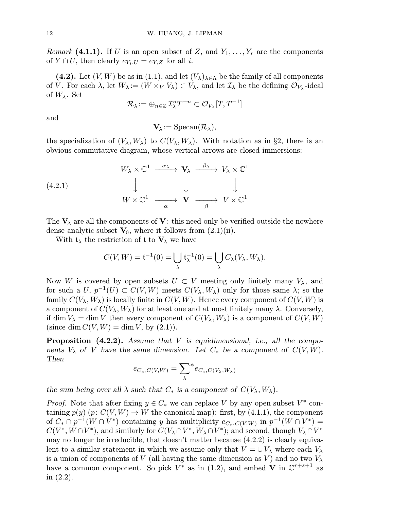*Remark* (4.1.1). If U is an open subset of Z, and  $Y_1, \ldots, Y_r$  are the components of  $Y \cap U$ , then clearly  $e_{Y_i,U} = e_{Y,Z}$  for all i.

(4.2). Let  $(V, W)$  be as in (1.1), and let  $(V_\lambda)_{\lambda \in \Lambda}$  be the family of all components of V. For each  $\lambda$ , let  $W_{\lambda} := (W \times_V V_{\lambda}) \subset V_{\lambda}$ , and let  $\mathcal{I}_{\lambda}$  be the defining  $\mathcal{O}_{V_{\lambda}}$ -ideal of  $W_{\lambda}$ . Set

$$
\mathcal{R}_\lambda:=\oplus_{n\in\mathbb{Z}}\,\mathcal{I}_\lambda^{n}T^{-n}\subset\mathcal{O}_{V_\lambda}[T,T^{-1}]
$$

and

 $V_{\lambda} := \text{Specan}(\mathcal{R}_{\lambda}),$ 

the specialization of  $(V_\lambda, W_\lambda)$  to  $C(V_\lambda, W_\lambda)$ . With notation as in §2, there is an obvious commutative diagram, whose vertical arrows are closed immersions:

(4.2.1)  
\n
$$
W_{\lambda} \times \mathbb{C}^{1} \xrightarrow{\alpha_{\lambda}} \mathbf{V}_{\lambda} \xrightarrow{\beta_{\lambda}} V_{\lambda} \times \mathbb{C}^{1}
$$
\n
$$
\downarrow \qquad \qquad \downarrow \qquad \qquad \downarrow
$$
\n
$$
W \times \mathbb{C}^{1} \xrightarrow{\alpha} \mathbf{V} \xrightarrow{\beta} V \times \mathbb{C}^{1}
$$

The  $V_{\lambda}$  are all the components of V: this need only be verified outside the nowhere dense analytic subset  $V_0$ , where it follows from  $(2.1)(ii)$ .

With  $t_{\lambda}$  the restriction of t to  $V_{\lambda}$  we have

$$
C(V,W) = \mathfrak{t}^{-1}(0) = \bigcup_{\lambda} \mathfrak{t}_{\lambda}^{-1}(0) = \bigcup_{\lambda} C_{\lambda}(V_{\lambda}, W_{\lambda}).
$$

Now W is covered by open subsets  $U \subset V$  meeting only finitely many  $V_{\lambda}$ , and for such a U,  $p^{-1}(U) \subset C(V,W)$  meets  $C(V_\lambda, W_\lambda)$  only for those same  $\lambda$ ; so the family  $C(V_\lambda, W_\lambda)$  is locally finite in  $C(V, W)$ . Hence every component of  $C(V, W)$  is a component of  $C(V_\lambda, W_\lambda)$  for at least one and at most finitely many  $\lambda$ . Conversely, if dim  $V_{\lambda} = \dim V$  then every component of  $C(V_{\lambda}, W_{\lambda})$  is a component of  $C(V, W)$ (since dim  $C(V,W) = \dim V$ , by  $(2.1)$ ).

**Proposition**  $(4.2.2)$ . Assume that V is equidimensional, i.e., all the components  $V_{\lambda}$  of V have the same dimension. Let  $C_{\ast}$  be a component of  $C(V,W)$ . Then

$$
e_{C_*,C(V,W)} = \sum_{\lambda}^* e_{C_*,C(V_{\lambda},W_{\lambda})}
$$

the sum being over all  $\lambda$  such that  $C_*$  is a component of  $C(V_\lambda, W_\lambda)$ .

*Proof.* Note that after fixing  $y \in C_*$  we can replace V by any open subset  $V^*$  containing  $p(y)$   $(p: C(V, W) \to W$  the canonical map): first, by (4.1.1), the component of  $C_* \cap p^{-1}(W \cap V^*)$  containing y has multiplicity  $e_{C_*C(V,W)}$  in  $p^{-1}(W \cap V^*)$  =  $C(V^*, W \cap V^*)$ , and similarly for  $C(V_{\lambda} \cap V^*, W_{\lambda} \cap V^*)$ ; and second, though  $V_{\lambda} \cap V^*$ may no longer be irreducible, that doesn't matter because (4.2.2) is clearly equivalent to a similar statement in which we assume only that  $V = \bigcup V_\lambda$  where each  $V_\lambda$ is a union of components of V (all having the same dimension as V) and no two  $V_{\lambda}$ have a common component. So pick  $V^*$  as in (1.2), and embed **V** in  $\mathbb{C}^{r+s+1}$  as in (2.2).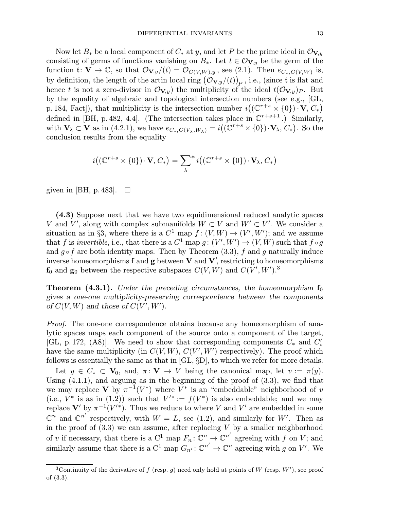Now let  $B_*$  be a local component of  $C_*$  at y, and let P be the prime ideal in  $\mathcal{O}_{V,u}$ consisting of germs of functions vanishing on  $B_*$ . Let  $t \in \mathcal{O}_{V,y}$  be the germ of the function t:  $\mathbf{V} \to \mathbb{C}$ , so that  $\mathcal{O}_{\mathbf{V},y}/(t) = \mathcal{O}_{C(V,W),y}$ , see (2.1). Then  $e_{C_*,C(V,W)}$  is, by definition, the length of the artin local ring  $(\mathcal{O}_{\mathbf{V},y}/(t))_P^{}$  , i.e., (since  $\mathfrak t$  is flat and hence t is not a zero-divisor in  $\mathcal{O}_{V,y}$  the multiplicity of the ideal  $t(\mathcal{O}_{V,y})_P$ . But by the equality of algebraic and topological intersection numbers (see e.g., [GL, p. 184, Fact]), that multiplicity is the intersection number  $i((\mathbb{C}^{r+s} \times \{0\}) \cdot \mathbf{V}, C_*)$ defined in [BH, p. 482, 4.4]. (The intersection takes place in  $\mathbb{C}^{r+s+1}$ .) Similarly, with  $\mathbf{V}_{\lambda} \subset \mathbf{V}$  as in (4.2.1), we have  $e_{C_*,C(V_{\lambda},W_{\lambda})} = i((\mathbb{C}^{r+s} \times \{0\}) \cdot \mathbf{V}_{\lambda}, C_*)$ . So the conclusion results from the equality

$$
i((\mathbb{C}^{r+s}\times\{0\})\cdot\mathbf{V},C_*)=\sum_{\lambda}^*i((\mathbb{C}^{r+s}\times\{0\})\cdot\mathbf{V}_{\lambda},C_*)
$$

given in [BH, p. 483].  $\Box$ 

(4.3) Suppose next that we have two equidimensional reduced analytic spaces V and V', along with complex submanifolds  $W \subset V$  and  $W' \subset V'$ . We consider a situation as in §3, where there is a  $C^1$  map  $f: (V, W) \to (V', W')$ ; and we assume that f is invertible, i.e., that there is a  $C^1$  map  $g: (V', W') \to (V, W)$  such that  $f \circ g$ and  $g \circ f$  are both identity maps. Then by Theorem (3.3), f and g naturally induce inverse homeomorphisms  $f$  and  $g$  between  $V$  and  $V'$ , restricting to homeomorphisms  $f_0$  and  $g_0$  between the respective subspaces  $C(V, W)$  and  $C(V', W')$ .<sup>3</sup>

**Theorem (4.3.1).** Under the preceding circumstances, the homeomorphism  $f_0$ gives a one-one multiplicity-preserving correspondence between the components of  $C(V, W)$  and those of  $C(V', W')$ .

*Proof.* The one-one correspondence obtains because any homeomorphism of analytic spaces maps each component of the source onto a component of the target, [GL, p. 172, (A8)]. We need to show that corresponding components  $C_*$  and  $C'_*$ have the same multiplicity (in  $C(V, W)$ ,  $C(V', W')$  respectively). The proof which follows is essentially the same as that in [GL, §D], to which we refer for more details. Let  $y \in C_* \subset V_0$ , and,  $\pi: V \to V$  being the canonical map, let  $v := \pi(y)$ . Using  $(4.1.1)$ , and arguing as in the beginning of the proof of  $(3.3)$ , we find that we may replace V by  $\pi^{-1}(V^*)$  where  $V^*$  is an "embeddable" neighborhood of v (i.e.,  $V^*$  is as in (1.2)) such that  $V'^* := f(V^*)$  is also embeddable; and we may replace  $V'$  by  $\pi^{-1}(V'^*)$ . Thus we reduce to where V and V' are embedded in some  $\mathbb{C}^n$  and  $\mathbb{C}^{n'}$  respectively, with  $W = L$ , see (1.2), and similarly for W'. Then as in the proof of  $(3.3)$  we can assume, after replacing V by a smaller neighborhood of v if necessary, that there is a  $C^1$  map  $F_n: \mathbb{C}^n \to \mathbb{C}^{n'}$  agreeing with f on V; and similarly assume that there is a  $C^1$  map  $G_{n'}: \mathbb{C}^{n'} \to \mathbb{C}^n$  agreeing with g on V'. We

<sup>&</sup>lt;sup>3</sup>Continuity of the derivative of f (resp. g) need only hold at points of W (resp. W'), see proof of (3.3).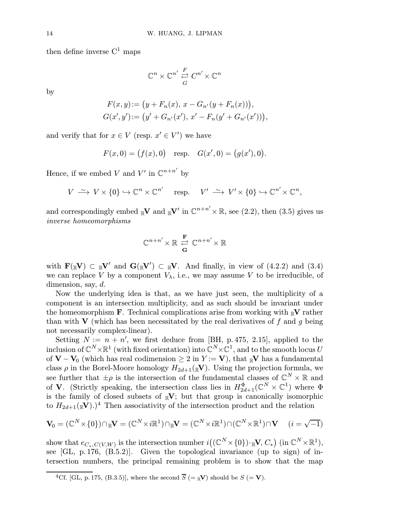then define inverse  $C^1$  maps

$$
\mathbb{C}^n \times \mathbb{C}^{n'} \overset{F}{\underset{G}{\rightleftarrows}} C^{n'} \times \mathbb{C}^n
$$

by

$$
F(x,y) := (y + F_n(x), x - G_{n'}(y + F_n(x))),
$$
  
\n
$$
G(x',y') := (y' + G_{n'}(x'), x' - F_n(y' + G_{n'}(x'))),
$$

and verify that for  $x \in V$  (resp.  $x' \in V'$ ) we have

$$
F(x, 0) = (f(x), 0)
$$
 resp.  $G(x', 0) = (g(x'), 0)$ .

Hence, if we embed V and  $V'$  in  $\mathbb{C}^{n+n'}$  by

$$
V \stackrel{\sim}{\longrightarrow} V \times \{0\} \hookrightarrow \mathbb{C}^n \times \mathbb{C}^{n'} \quad \text{ resp.} \quad V' \stackrel{\sim}{\longrightarrow} V' \times \{0\} \hookrightarrow \mathbb{C}^{n'} \times \mathbb{C}^n,
$$

and correspondingly embed  $_{\mathbb{R}}\mathbf{V}$  and  $_{\mathbb{R}}\mathbf{V}'$  in  $\mathbb{C}^{n+n'}\times\mathbb{R}$ , see (2.2), then (3.5) gives us inverse homeomorphisms

$$
\mathbb{C}^{n+n'}\!\times\mathbb{R}\,\underset{\mathbf{G}}{\overset{\mathbf{F}}{\rightleftharpoons}}\,\mathbb{C}^{n+n'}\!\times\mathbb{R}
$$

with  $\mathbf{F}(\mathbb{R}V) \subset \mathbb{R}V'$  and  $\mathbf{G}(\mathbb{R}V') \subset \mathbb{R}V$ . And finally, in view of (4.2.2) and (3.4) we can replace V by a component  $V_{\lambda}$ , i.e., we may assume V to be irreducible, of dimension, say, d.

Now the underlying idea is that, as we have just seen, the multiplicity of a component is an intersection multiplicity, and as such should be invariant under the homeomorphism **F**. Technical complications arise from working with  $\mathbb{R}^V$  rather than with V (which has been necessitated by the real derivatives of f and g being not necessarily complex-linear).

Setting  $N := n + n'$ , we first deduce from [BH, p. 475, 2.15], applied to the inclusion of  $\mathbb{C}^N\times\mathbb{R}^1$  (with fixed orientation) into  $\mathbb{C}^N\times\mathbb{C}^1$ , and to the smooth locus U of  $V - V_0$  (which has real codimension  $\geq 2$  in  $Y := V$ ), that <sub>R</sub>V has a fundamental class  $\rho$  in the Borel-Moore homology  $H_{2d+1}(\mathbb{R}V)$ . Using the projection formula, we see further that  $\pm \rho$  is the intersection of the fundamental classes of  $\mathbb{C}^N \times \mathbb{R}$  and of **V**. (Strictly speaking, the intersection class lies in  $H_{2d+1}^{\Phi}(\mathbb{C}^N \times \mathbb{C}^1)$  where  $\Phi$ is the family of closed subsets of  $\mathbb{R}V$ ; but that group is canonically isomorphic to  $H_{2d+1}(\mathbb{R}V)$ .)<sup>4</sup> Then associativity of the intersection product and the relation

$$
\mathbf{V}_0 = (\mathbb{C}^N \times \{0\}) \cap_{\mathbb{R}} \mathbf{V} = (\mathbb{C}^N \times i\mathbb{R}^1) \cap_{\mathbb{R}} \mathbf{V} = (\mathbb{C}^N \times i\mathbb{R}^1) \cap (\mathbb{C}^N \times \mathbb{R}^1) \cap \mathbf{V} \quad (i = \sqrt{-1})
$$

show that  $e_{C_*,C(V,W)}$  is the intersection number  $i((\mathbb{C}^N\times\{0\})\cdot_{\mathbb{R}}\mathbf{V},C_*)$  (in  $\mathbb{C}^N\times\mathbb{R}^1$ ), see [GL, p.176, (B.5.2)]. Given the topological invariance (up to sign) of intersection numbers, the principal remaining problem is to show that the map

<sup>&</sup>lt;sup>4</sup>Cf. [GL, p. 175, (B.3.5)], where the second  $\overline{S}$  (=  $\mathbb{R}$ V) should be  $S$  (= V).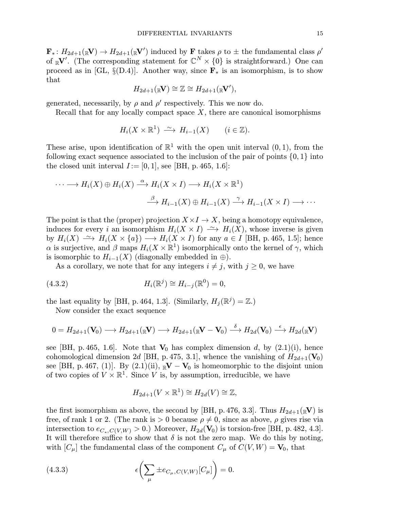$\mathbf{F}_* \colon H_{2d+1}(\mathbb{R}V) \to H_{2d+1}(\mathbb{R}V')$  induced by  $\mathbf{F}$  takes  $\rho$  to  $\pm$  the fundamental class  $\rho'$ of  $_{\mathbb{R}}V'$ . (The corresponding statement for  $\mathbb{C}^N\times\{0\}$  is straightforward.) One can proceed as in [GL, §(D.4)]. Another way, since  $\mathbf{F}_{*}$  is an isomorphism, is to show that

$$
H_{2d+1}(\mathbb{R}V) \cong \mathbb{Z} \cong H_{2d+1}(\mathbb{R}V'),
$$

generated, necessarily, by  $\rho$  and  $\rho'$  respectively. This we now do.

Recall that for any locally compact space  $X$ , there are canonical isomorphisms

$$
H_i(X\times\mathbb{R}^1)\ \xrightarrow{\sim} H_{i-1}(X)\qquad (i\in\mathbb{Z}).
$$

These arise, upon identification of  $\mathbb{R}^1$  with the open unit interval  $(0, 1)$ , from the following exact sequence associated to the inclusion of the pair of points  $\{0, 1\}$  into the closed unit interval  $I := [0, 1]$ , see [BH, p. 465, 1.6]:

$$
\cdots \longrightarrow H_i(X) \oplus H_i(X) \stackrel{\alpha}{\longrightarrow} H_i(X \times I) \longrightarrow H_i(X \times \mathbb{R}^1)
$$

$$
\stackrel{\beta}{\longrightarrow} H_{i-1}(X) \oplus H_{i-1}(X) \stackrel{\gamma}{\longrightarrow} H_{i-1}(X \times I) \longrightarrow \cdots
$$

The point is that the (proper) projection  $X \times I \to X$ , being a homotopy equivalence, induces for every i an isomorphism  $H_i(X \times I) \longrightarrow H_i(X)$ , whose inverse is given by  $H_i(X) \longrightarrow H_i(X \times \{a\}) \longrightarrow H_i(X \times I)$  for any  $a \in I$  [BH, p. 465, 1.5]; hence α is surjective, and β maps  $H_i(X \times \mathbb{R}^1)$  isomorphically onto the kernel of γ, which is isomorphic to  $H_{i-1}(X)$  (diagonally embedded in  $\oplus$ ).

As a corollary, we note that for any integers  $i \neq j$ , with  $j \geq 0$ , we have

(4.3.2) 
$$
H_i(\mathbb{R}^j) \cong H_{i-j}(\mathbb{R}^0) = 0,
$$

the last equality by [BH, p. 464, 1.3]. (Similarly,  $H_i(\mathbb{R}^j) = \mathbb{Z}$ .)

Now consider the exact sequence

$$
0 = H_{2d+1}(\mathbf{V}_0) \longrightarrow H_{2d+1}(\mathbb{R}\mathbf{V}) \longrightarrow H_{2d+1}(\mathbb{R}\mathbf{V} - \mathbf{V}_0) \stackrel{\delta}{\longrightarrow} H_{2d}(\mathbf{V}_0) \stackrel{\epsilon}{\longrightarrow} H_{2d}(\mathbb{R}\mathbf{V})
$$

see [BH, p. 465, 1.6]. Note that  $V_0$  has complex dimension d, by  $(2.1)(i)$ , hence cohomological dimension 2d [BH, p. 475, 3.1], whence the vanishing of  $H_{2d+1}(\mathbf{V}_0)$ see [BH, p. 467, (1)]. By  $(2.1)(ii)$ ,  $\mathbb{R}V - V_0$  is homeomorphic to the disjoint union of two copies of  $V \times \mathbb{R}^1$ . Since V is, by assumption, irreducible, we have

$$
H_{2d+1}(V\times \mathbb{R}^1)\cong H_{2d}(V)\cong \mathbb{Z},
$$

the first isomorphism as above, the second by [BH, p. 476, 3.3]. Thus  $H_{2d+1}(\mathbb{R}V)$  is free, of rank 1 or 2. (The rank is  $> 0$  because  $\rho \neq 0$ , since as above,  $\rho$  gives rise via intersection to  $e_{C_*C(V,W)} > 0$ .) Moreover,  $H_{2d}(\mathbf{V}_0)$  is torsion-free [BH, p. 482, 4.3]. It will therefore suffice to show that  $\delta$  is not the zero map. We do this by noting, with  $[C_\mu]$  the fundamental class of the component  $C_\mu$  of  $C(V,W) = V_0$ , that

(4.3.3) 
$$
\epsilon \left( \sum_{\mu} \pm e_{C_{\mu}, C(V,W)}[C_{\mu}] \right) = 0.
$$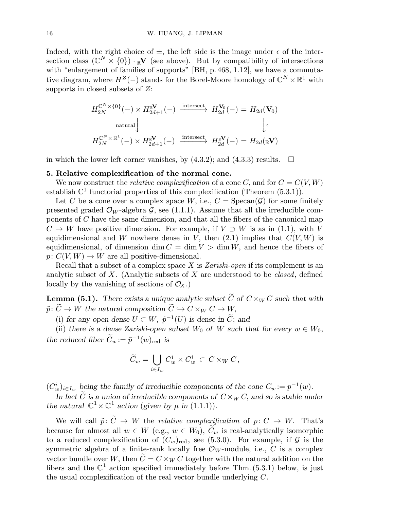Indeed, with the right choice of  $\pm$ , the left side is the image under  $\epsilon$  of the intersection class  $(\mathbb{C}^N \times \{0\}) \cdot \mathbb{R}^V$  (see above). But by compatibility of intersections with "enlargement of families of supports" [BH, p. 468, 1.12], we have a commutative diagram, where  $H^Z(-)$  stands for the Borel-Moore homology of  $\mathbb{C}^N \times \mathbb{R}^1$  with supports in closed subsets of Z:

$$
H_{2N}^{\mathbb{C}^N \times \{0\}}(-) \times H_{2d+1}^{\mathbb{R}^V}(-) \xrightarrow{\text{intersect}} H_{2d}^{\mathbb{V}_0}(-) = H_{2d}(\mathbf{V}_0)
$$
\nnatural\n
$$
H_{2N}^{\mathbb{C}^N \times \mathbb{R}^1}(-) \times H_{2d+1}^{\mathbb{R}^V}(-) \xrightarrow{\text{intersect}} H_{2d}^{\mathbb{R}^V}(-) = H_{2d}(\mathbb{R}^V)
$$

in which the lower left corner vanishes, by  $(4.3.2)$ ; and  $(4.3.3)$  results.  $\Box$ 

## 5. Relative complexification of the normal cone.

We now construct the *relative complexification* of a cone C, and for  $C = C(V, W)$ establish  $C^1$  functorial properties of this complexification (Theorem  $(5.3.1)$ ).

Let C be a cone over a complex space W, i.e.,  $C = \text{Specan}(\mathcal{G})$  for some finitely presented graded  $\mathcal{O}_W$ -algebra  $\mathcal{G}$ , see (1.1.1). Assume that all the irreducible components of C have the same dimension, and that all the fibers of the canonical map  $C \to W$  have positive dimension. For example, if  $V \supset W$  is as in (1.1), with V equidimensional and W nowhere dense in V, then  $(2.1)$  implies that  $C(V, W)$  is equidimensional, of dimension dim  $C = \dim V > \dim W$ , and hence the fibers of  $p: C(V, W) \to W$  are all positive-dimensional.

Recall that a subset of a complex space X is Zariski-open if its complement is an analytic subset of X. (Analytic subsets of X are understood to be *closed*, defined locally by the vanishing of sections of  $\mathcal{O}_X$ .)

**Lemma (5.1).** There exists a unique analytic subset  $\tilde{C}$  of  $C \times_W C$  such that with  $\tilde{p} \colon \widetilde{C} \to W$  the natural composition  $\widetilde{C} \hookrightarrow C \times_W C \to W$ ,

(i) for any open dense  $U \subset W$ ,  $\tilde{p}^{-1}(U)$  is dense in  $\tilde{C}$ ; and

(ii) there is a dense Zariski-open subset  $W_0$  of W such that for every  $w \in W_0$ , the reduced fiber  $C_w := \tilde{p}^{-1}(w)_{\text{red}}$  is

$$
\widetilde{C}_w = \bigcup_{i \in I_w} C_w^i \times C_w^i \, \subset \, C \times_W C \,,
$$

 $(C_w^i)_{i \in I_w}$  being the family of irreducible components of the cone  $C_w := p^{-1}(w)$ .

In fact C is a union of irreducible components of  $C \times_W C$ , and so is stable under the natural  $\mathbb{C}^1 \times \mathbb{C}^1$  action (given by  $\mu$  in (1.1.1)).

We will call  $\tilde{p}: \tilde{C} \to W$  the *relative complexification* of  $p: C \to W$ . That's because for almost all  $w \in W$  (e.g.,  $w \in W_0$ ),  $\widetilde{C}_w$  is real-analytically isomorphic to a reduced complexification of  $(C_w)_{\text{red}}$ , see (5.3.0). For example, if G is the symmetric algebra of a finite-rank locally free  $\mathcal{O}_W$ -module, i.e., C is a complex vector bundle over W, then  $C = C \times_W C$  together with the natural addition on the fibers and the  $\mathbb{C}^1$  action specified immediately before Thm. (5.3.1) below, is just the usual complexification of the real vector bundle underlying C.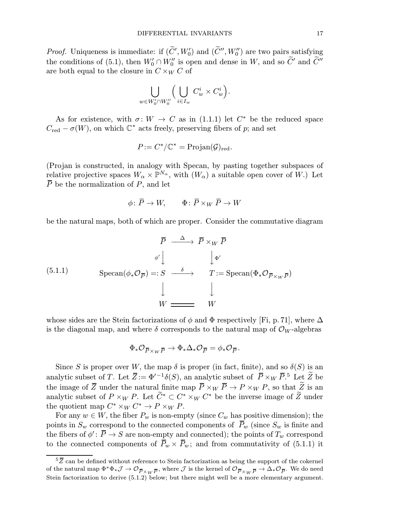*Proof.* Uniqueness is immediate: if  $(\tilde{C}', W'_0)$  and  $(\tilde{C}'', W''_0)$  are two pairs satisfying the conditions of (5.1), then  $W'_0 \cap W''_0$  is open and dense in W, and so  $\tilde{C}'$  and  $\tilde{C}''$ are both equal to the closure in  $C \times_W C$  of

$$
\bigcup_{w\in W'_0\cap W''_0}\Big(\bigcup_{i\in I_w}C_w^i\times C_w^i\Big)
$$

.

As for existence, with  $\sigma: W \to C$  as in (1.1.1) let  $C^*$  be the reduced space  $C_{\text{red}} - \sigma(W)$ , on which  $\mathbb{C}^*$  acts freely, preserving fibers of p; and set

$$
P := C^*/\mathbb{C}^* = \text{Projan}(\mathcal{G})_{\text{red}}.
$$

(Projan is constructed, in analogy with Specan, by pasting together subspaces of relative projective spaces  $W_{\alpha} \times \mathbb{P}^{N_{\alpha}}$ , with  $(W_{\alpha})$  a suitable open cover of W.) Let  $\overline{P}$  be the normalization of P, and let

$$
\phi \colon \overline{P} \to W, \qquad \Phi \colon \overline{P} \times_W \overline{P} \to W
$$

be the natural maps, both of which are proper. Consider the commutative diagram

$$
\overline{P} \xrightarrow{\Delta} \overline{P} \times_{W} \overline{P}
$$
\n
$$
\phi' \downarrow \qquad \qquad \downarrow \Phi'
$$
\n(5.1.1)\n
$$
\text{Specan}(\phi_* \mathcal{O}_{\overline{P}}) =: S \xrightarrow{\delta} \qquad T := \text{Specan}(\Phi_* \mathcal{O}_{\overline{P} \times_W \overline{P}})
$$
\n
$$
\downarrow \qquad \qquad \downarrow
$$
\n
$$
W \xrightarrow{\qquad \qquad W \qquad \qquad W}
$$

whose sides are the Stein factorizations of  $\phi$  and  $\Phi$  respectively [Fi, p.71], where  $\Delta$ is the diagonal map, and where  $\delta$  corresponds to the natural map of  $\mathcal{O}_W$ -algebras

$$
\Phi_*\mathcal{O}_{\overline{P}\times_W\overline{P}}\to\Phi_*\Delta_*\mathcal{O}_{\overline{P}}=\phi_*\mathcal{O}_{\overline{P}}.
$$

Since S is proper over W, the map  $\delta$  is proper (in fact, finite), and so  $\delta(S)$  is an analytic subset of T. Let  $\overline{Z} := \Phi'^{-1}\delta(S)$ , an analytic subset of  $\overline{P} \times_W \overline{P}$ .<sup>5</sup> Let  $\overline{Z}$  be the image of  $\overline{Z}$  under the natural finite map  $\overline{P} \times_W \overline{P} \to P \times_W P$ , so that  $\widetilde{Z}$  is an analytic subset of  $P \times_W P$ . Let  $\widetilde{C}^* \subset C^* \times_W C^*$  be the inverse image of  $\widetilde{Z}$  under the quotient map  $C^* \times_W C^* \to P \times_W P$ .

For any  $w \in W$ , the fiber  $P_w$  is non-empty (since  $C_w$  has positive dimension); the points in  $S_w$  correspond to the connected components of  $\bar{P}_w$  (since  $S_w$  is finite and the fibers of  $\phi' : \overline{P} \to S$  are non-empty and connected); the points of  $T_w$  correspond to the connected components of  $\bar{P}_w \times \bar{P}_w$ ; and from commutativity of (5.1.1) it

 ${}^{5}\overline{Z}$  can be defined without reference to Stein factorization as being the support of the cokernel of the natural map  $\Phi^*\Phi_*\mathcal{J}\to\mathcal{O}_{\overline{P}\times W\overline{P}}$ , where  $\mathcal{J}$  is the kernel of  $\mathcal{O}_{\overline{P}\times W\overline{P}}\to\Delta_*\mathcal{O}_{\overline{P}}$ . We do need Stein factorization to derive  $(5.1.2)$  below; but there might well be a more elementary argument.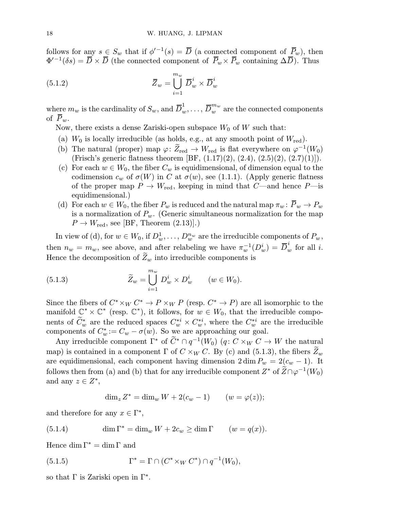follows for any  $s \in S_w$  that if  $\phi'^{-1}(s) = \overline{D}$  (a connected component of  $\overline{P}_w$ ), then  $\Phi'^{-1}(\delta s) = \overline{D} \times \overline{D}$  (the connected component of  $\overline{P}_w \times \overline{P}_w$  containing  $\Delta \overline{D}$ ). Thus

(5.1.2) 
$$
\overline{Z}_w = \bigcup_{i=1}^{m_w} \overline{D}_w^i \times \overline{D}_w^i
$$

where  $m_w$  is the cardinality of  $S_w,$  and  $\overline D_w^1,\ldots,\overline D_w^{m_w}$  are the connected components of  $\overline{P}_w$ .

Now, there exists a dense Zariski-open subspace  $W_0$  of W such that:

- (a)  $W_0$  is locally irreducible (as holds, e.g., at any smooth point of  $W_{\text{red}}$ ).
- (b) The natural (proper) map  $\varphi: \widetilde{Z}_{red} \to W_{red}$  is flat everywhere on  $\varphi^{-1}(W_0)$ (Frisch's generic flatness theorem [BF,  $(1.17)(2)$ ,  $(2.4)$ ,  $(2.5)(2)$ ,  $(2.7)(1)$ ]).
- (c) For each  $w \in W_0$ , the fiber  $C_w$  is equidimensional, of dimension equal to the codimension  $c_w$  of  $\sigma(W)$  in C at  $\sigma(w)$ , see (1.1.1). (Apply generic flatness of the proper map  $P \to W_{\text{red}}$ , keeping in mind that C—and hence P—is equidimensional.)
- (d) For each  $w \in W_0$ , the fiber  $P_w$  is reduced and the natural map  $\pi_w : \overline{P}_w \to P_w$ is a normalization of  $P_w$ . (Generic simultaneous normalization for the map  $P \rightarrow W_{\text{red}}$ , see [BF, Theorem (2.13)].)

In view of (d), for  $w \in W_0$ , if  $D_w^1, \ldots, D_w^{n_w}$  are the irreducible components of  $P_w$ , then  $n_w = m_w$ , see above, and after relabeling we have  $\pi_w^{-1}(D_w^i) = \overline{D}_w^i$  for all *i*. Hence the decomposition of  $\widetilde{Z}_w$  into irreducible components is

(5.1.3) 
$$
\widetilde{Z}_w = \bigcup_{i=1}^{m_w} D_w^i \times D_w^i \qquad (w \in W_0).
$$

Since the fibers of  $C^* \times_W C^* \to P \times_W P$  (resp.  $C^* \to P$ ) are all isomorphic to the manifold  $\mathbb{C}^* \times \mathbb{C}^*$  (resp.  $\mathbb{C}^*$ ), it follows, for  $w \in W_0$ , that the irreducible components of  $\widetilde{C}_w^*$  are the reduced spaces  $C_w^{*i} \times C_w^{*i}$ , where the  $C_w^{*i}$  are the irreducible components of  $C_w^* := C_w - \sigma(w)$ . So we are approaching our goal.

Any irreducible component  $\Gamma^*$  of  $\widetilde{C}^* \cap q^{-1}(W_0)$   $(q: C \times_W C \to W$  the natural map) is contained in a component  $\Gamma$  of  $C \times_W C$ . By (c) and (5.1.3), the fibers  $\widetilde{Z}_w$ are equidimensional, each component having dimension  $2 \dim P_w = 2(c_w - 1)$ . It follows then from (a) and (b) that for any irreducible component  $Z^*$  of  $\widetilde{Z} \cap \varphi^{-1}(W_0)$ and any  $z \in Z^*$ ,

$$
\dim_z Z^* = \dim_w W + 2(c_w - 1) \qquad (w = \varphi(z));
$$

and therefore for any  $x \in \Gamma^*$ ,

(5.1.4) 
$$
\dim \Gamma^* = \dim_w W + 2c_w \ge \dim \Gamma \qquad (w = q(x)).
$$

Hence  $\dim \Gamma^* = \dim \Gamma$  and

(5.1.5) 
$$
\Gamma^* = \Gamma \cap (C^* \times_W C^*) \cap q^{-1}(W_0),
$$

so that  $\Gamma$  is Zariski open in  $\Gamma^*$ .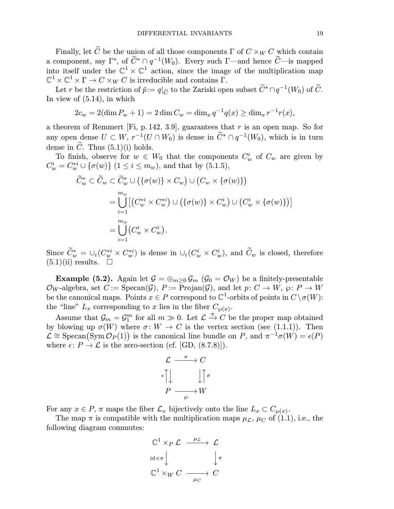Finally, let  $\widetilde{C}$  be the union of all those components  $\Gamma$  of  $C \times_W C$  which contain a component, say  $\Gamma^*$ , of  $\widetilde{C}^* \cap q^{-1}(W_0)$ . Every such  $\Gamma$ —and hence  $\widetilde{C}$ —is mapped into itself under the  $\mathbb{C}^1 \times \mathbb{C}^1$  action, since the image of the multiplication map  $\mathbb{C}^1 \times \mathbb{C}^1 \times \Gamma \to C \times_W C$  is irreducible and contains Γ.

Let r be the restriction of  $\tilde{p} := q|_{\tilde{C}}$  to the Zariski open subset  $\tilde{C}^* \cap q^{-1}(W_0)$  of  $\tilde{C}$ . In view of (5.14), in which

$$
2c_w = 2(\dim P_w + 1) = 2\dim C_w = \dim_x q^{-1} q(x) \ge \dim_x r^{-1} r(x),
$$

a theorem of Remmert [Fi, p. 142, 3.9], guarantees that  $r$  is an open map. So for any open dense  $U \subset W$ ,  $r^{-1}(U \cap W_0)$  is dense in  $\widetilde{C}^* \cap q^{-1}(W_0)$ , which is in turn dense in  $\tilde{C}$ . Thus  $(5.1)(i)$  holds.

To finish, observe for  $w \in W_0$  that the components  $C_w^i$  of  $C_w$  are given by  $C_w^i = C_w^{*i} \cup {\{\sigma(w)\}\ (1 \leq i \leq m_w)}$ , and that by (5.1.5),

$$
\widetilde{C}_w^* \subset \widetilde{C}_w \subset \widetilde{C}_w^* \cup (\{\sigma(w)\} \times C_w) \cup (C_w \times \{\sigma(w)\})
$$
  
\n
$$
= \bigcup_{i=1}^{m_w} [(C_w^{*i} \times C_w^{*i}) \cup (\{\sigma(w)\} \times C_w^i) \cup (C_w^i \times \{\sigma(w)\})]
$$
  
\n
$$
= \bigcup_{i=1}^{m_w} (C_w^i \times C_w^i).
$$

Since  $\tilde{C}_w^* = \bigcup_i (C_w^{*i} \times C_w^{*i})$  is dense in  $\bigcup_i (C_w^i \times C_w^i)$ , and  $\tilde{C}_w$  is closed, therefore  $(5.1)(ii)$  results.  $\Box$ 

**Example (5.2).** Again let  $\mathcal{G} = \bigoplus_{m>0} \mathcal{G}_m$  ( $\mathcal{G}_0 = \mathcal{O}_W$ ) be a finitely-presentable  $\mathcal{O}_W$ -algebra, set  $C := \text{Specan}(\mathcal{G})$ ,  $P := \text{Projan}(\mathcal{G})$ , and let  $p: C \to W$ ,  $\wp: P \to W$ be the canonical maps. Points  $x \in P$  correspond to  $\mathbb{C}^1$ -orbits of points in  $C \setminus \sigma(W)$ : the "line"  $L_x$  corresponding to x lies in the fiber  $C_{\varphi(x)}$ .

Assume that  $\mathcal{G}_m = \mathcal{G}_1^m$  for all  $m \gg 0$ . Let  $\mathcal{L} \stackrel{\pi}{\rightarrow} C$  be the proper map obtained by blowing up  $\sigma(W)$  where  $\sigma: W \to C$  is the vertex section (see (1.1.1)). Then  $\mathcal{L} \cong \text{Specan}(\text{Sym} \mathcal{O}_P(1))$  is the canonical line bundle on P, and  $\pi^{-1}\sigma(W) = \epsilon(P)$ where  $\epsilon: P \to \mathcal{L}$  is the zero-section (cf. [GD, (8.7.8)]).

$$
\mathcal{L} \xrightarrow{\pi} C
$$

$$
\begin{array}{c} \epsilon \\ \downarrow \end{array} \qquad \qquad \downarrow \uparrow \sigma
$$

$$
P \xrightarrow{\rho} W
$$

For any  $x \in P$ ,  $\pi$  maps the fiber  $\mathcal{L}_x$  bijectively onto the line  $L_x \subset C_{\wp(x)}$ .

The map  $\pi$  is compatible with the multiplication maps  $\mu_{\mathcal{L}}$ ,  $\mu_C$  of (1.1), i.e., the following diagram commutes:

$$
\begin{array}{ccc}\n\mathbb{C}^1 \times_P \mathcal{L} & \xrightarrow{\mu_{\mathcal{L}}} & \mathcal{L} \\
\downarrow^{\text{id} \times \pi} & & \downarrow^{\pi} \\
\mathbb{C}^1 \times_W C & \xrightarrow{\mu_{C}} & C\n\end{array}
$$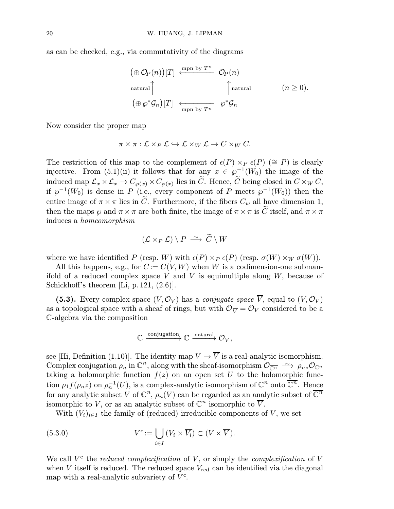as can be checked, e.g., via commutativity of the diagrams

$$
(\oplus O_P(n))[T] \stackrel{\text{mpn by } T^n}{\longleftarrow} O_P(n)
$$
  
natural  

$$
(\oplus \wp^* \mathcal{G}_n)[T] \stackrel{\longleftarrow}{\longleftarrow} \wp^* \mathcal{G}_n
$$
  

$$
(n \geq 0).
$$
  

$$
(\oplus \wp^* \mathcal{G}_n)[T] \stackrel{\longleftarrow}{\longleftarrow} \wp^* \mathcal{G}_n
$$

Now consider the proper map

$$
\pi \times \pi : \mathcal{L} \times_{P} \mathcal{L} \hookrightarrow \mathcal{L} \times_{W} \mathcal{L} \to C \times_{W} C.
$$

The restriction of this map to the complement of  $\epsilon(P) \times_P \epsilon(P)$  ( $\cong P$ ) is clearly injective. From (5.1)(ii) it follows that for any  $x \in \wp^{-1}(W_0)$  the image of the induced map  $\mathcal{L}_x \times \mathcal{L}_x \to C_{\wp(x)} \times C_{\wp(x)}$  lies in  $\widetilde{C}$ . Hence,  $\widetilde{C}$  being closed in  $C \times_W C$ , if  $\wp^{-1}(W_0)$  is dense in P (i.e., every component of P meets  $\wp^{-1}(W_0)$ ) then the entire image of  $\pi \times \pi$  lies in  $\tilde{C}$ . Furthermore, if the fibers  $C_w$  all have dimension 1, then the maps  $\wp$  and  $\pi \times \pi$  are both finite, the image of  $\pi \times \pi$  is C itself, and  $\pi \times \pi$ induces a homeomorphism

$$
(\mathcal{L} \times_{P} \mathcal{L}) \setminus P \stackrel{\sim}{\longrightarrow} \widetilde{C} \setminus W
$$

where we have identified P (resp. W) with  $\epsilon(P) \times_P \epsilon(P)$  (resp.  $\sigma(W) \times_W \sigma(W)$ ).

All this happens, e.g., for  $C := C(V, W)$  when W is a codimension-one submanifold of a reduced complex space  $V$  and  $V$  is equimultiple along  $W$ , because of Schickhoff's theorem [Li, p. 121,  $(2.6)$ ].

(5.3). Every complex space  $(V, \mathcal{O}_V)$  has a *conjugate space*  $\overline{V}$ , equal to  $(V, \mathcal{O}_V)$ as a topological space with a sheaf of rings, but with  $\mathcal{O}_{\overline{V}} = \mathcal{O}_V$  considered to be a C-algebra via the composition

$$
\mathbb{C} \xrightarrow{\text{conjugation}} \mathbb{C} \xrightarrow{\text{natural}} \mathcal{O}_V,
$$

see [Hi, Definition (1.10)]. The identity map  $V \to \overline{V}$  is a real-analytic isomorphism. Complex conjugation  $\rho_n$  in  $\mathbb{C}^n$ , along with the sheaf-isomorphism  $\mathcal{O}_{\overline{\mathbb{C}^n}} \longrightarrow \rho_{n*}\mathcal{O}_{\mathbb{C}^n}$ taking a holomorphic function  $f(z)$  on an open set U to the holomorphic function  $\rho_1 f(\rho_n z)$  on  $\rho_n^{-1}(U)$ , is a complex-analytic isomorphism of  $\mathbb{C}^n$  onto  $\overline{\mathbb{C}^n}$ . Hence for any analytic subset V of  $\mathbb{C}^n$ ,  $\rho_n(V)$  can be regarded as an analytic subset of  $\overline{\mathbb{C}^n}$ isomorphic to V, or as an analytic subset of  $\mathbb{C}^n$  isomorphic to  $\overline{V}$ .

With  $(V_i)_{i\in I}$  the family of (reduced) irreducible components of V, we set

(5.3.0) 
$$
V^c := \bigcup_{i \in I} (V_i \times \overline{V_i}) \subset (V \times \overline{V}).
$$

We call  $V^c$  the *reduced complexification* of V, or simply the *complexification* of V when  $V$  itself is reduced. The reduced space  $V_{\text{red}}$  can be identified via the diagonal map with a real-analytic subvariety of  $V<sup>c</sup>$ .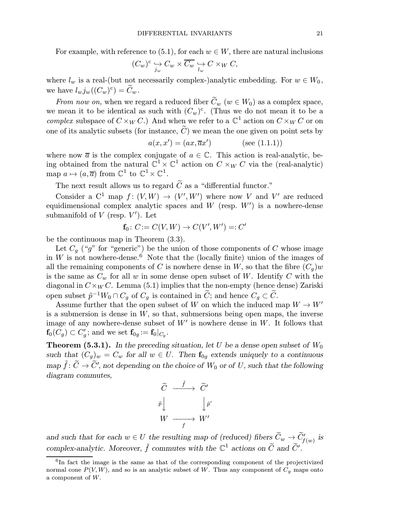For example, with reference to (5.1), for each  $w \in W$ , there are natural inclusions

$$
(C_w)^c \underset{j_w}{\hookrightarrow} C_w \times \overline{C_w} \underset{l_w}{\hookrightarrow} C \times_W C,
$$

where  $l_w$  is a real-(but not necessarily complex-)analytic embedding. For  $w \in W_0$ , we have  $l_wj_w((C_w)^c) = \widetilde{C}_w$ .

From now on, when we regard a reduced fiber  $\tilde{C}_w$   $(w \in W_0)$  as a complex space, we mean it to be identical as such with  $(C_w)^c$ . (Thus we do not mean it to be a complex subspace of  $C \times_W C$ .) And when we refer to a  $\mathbb{C}^1$  action on  $C \times_W C$  or on one of its analytic subsets (for instance,  $\tilde{C}$ ) we mean the one given on point sets by

$$
a(x, x') = (ax, \overline{a}x') \quad \text{(see (1.1.1))}
$$

where now  $\overline{a}$  is the complex conjugate of  $a \in \mathbb{C}$ . This action is real-analytic, being obtained from the natural  $\mathbb{C}^1 \times \mathbb{C}^1$  action on  $C \times_W C$  via the (real-analytic) map  $a \mapsto (a, \overline{a})$  from  $\mathbb{C}^1$  to  $\mathbb{C}^1 \times \mathbb{C}^1$ .

The next result allows us to regard  $\widetilde{C}$  as a "differential functor."

Consider a C<sup>1</sup> map  $f: (V, W) \to (V', W')$  where now V and V' are reduced equidimensional complex analytic spaces and  $W$  (resp.  $W'$ ) is a nowhere-dense submanifold of  $V$  (resp.  $V'$ ). Let

$$
\mathbf{f}_0\colon C:=C(V,W)\to C(V',W')=:C'
$$

be the continuous map in Theorem (3.3).

Let  $C_q$  ("g" for "generic") be the union of those components of C whose image in  $W$  is not nowhere-dense.<sup>6</sup> Note that the (locally finite) union of the images of all the remaining components of C is nowhere dense in W, so that the fibre  $(C_q)w$ is the same as  $C_w$  for all w in some dense open subset of W. Identify C with the diagonal in  $C \times_W C$ . Lemma (5.1) implies that the non-empty (hence dense) Zariski open subset  $\tilde{p}^{-1}W_0 \cap C_g$  of  $C_g$  is contained in  $\tilde{C}$ ; and hence  $C_g \subset \tilde{C}$ .

Assume further that the open subset of W on which the induced map  $W \to W'$ is a submersion is dense in  $W$ , so that, submersions being open maps, the inverse image of any nowhere-dense subset of  $W'$  is nowhere dense in W. It follows that  $\mathbf{f}_0(C_g) \subset C'_g$ ; and we set  $\mathbf{f}_{0g} := \mathbf{f}_0|_{C_g}$ .

**Theorem (5.3.1).** In the preceding situation, let U be a dense open subset of  $W_0$ such that  $(C_q)_w = C_w$  for all  $w \in U$ . Then  $\mathbf{f}_{0q}$  extends uniquely to a continuous map  $\tilde{f} \colon \widetilde{C} \to \widetilde{C}'$ , not depending on the choice of  $W_0$  or of U, such that the following diagram commutes,

$$
\begin{array}{ccc}\n\widetilde{C} & \xrightarrow{\widetilde{f}} & \widetilde{C}' \\
\bar{\widetilde{p}} & & \downarrow{\widetilde{p}}' \\
W & \xrightarrow{f} & W'\n\end{array}
$$

and such that for each  $w \in U$  the resulting map of (reduced) fibers  $C_w \to C'_{f(w)}$  is complex-analytic. Moreover,  $\tilde{f}$  commutes with the  $\mathbb{C}^1$  actions on  $\tilde{C}$  and  $\tilde{C}'$ .

 $6$ In fact the image is the same as that of the corresponding component of the projectivized normal cone  $P(V, W)$ , and so is an analytic subset of W. Thus any component of  $C_g$  maps onto a component of W.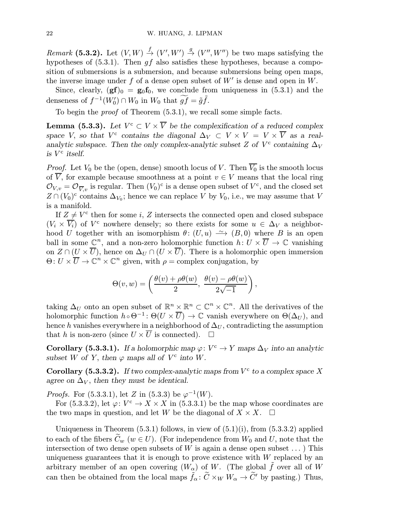Remark (5.3.2). Let  $(V, W) \stackrel{f}{\rightarrow} (V', W') \stackrel{g}{\rightarrow} (V'', W'')$  be two maps satisfying the hypotheses of  $(5.3.1)$ . Then  $gf$  also satisfies these hypotheses, because a composition of submersions is a submersion, and because submersions being open maps, the inverse image under f of a dense open subset of  $W'$  is dense and open in W.

Since, clearly,  $(gf)_0 = g_0f_0$ , we conclude from uniqueness in (5.3.1) and the denseness of  $f^{-1}(W_0') \cap W_0$  in  $W_0$  that  $\widetilde{gf} = \tilde{g}\tilde{f}$ .

To begin the proof of Theorem (5.3.1), we recall some simple facts.

**Lemma (5.3.3).** Let  $V^c \subset V \times \overline{V}$  be the complexification of a reduced complex space V, so that  $V^c$  contains the diagonal  $\Delta_V \subset V \times V = V \times \overline{V}$  as a realanalytic subspace. Then the only complex-analytic subset Z of  $V^c$  containing  $\Delta_V$ is  $V^{\rm c}$  itself.

*Proof.* Let  $V_0$  be the (open, dense) smooth locus of V. Then  $\overline{V_0}$  is the smooth locus of  $\overline{V}$ , for example because smoothness at a point  $v \in V$  means that the local ring  $\mathcal{O}_{V,v} = \mathcal{O}_{\overline{V},v}$  is regular. Then  $(V_0)^c$  is a dense open subset of  $V^c$ , and the closed set  $Z \cap (V_0)^c$  contains  $\Delta_{V_0}$ ; hence we can replace V by  $V_0$ , i.e., we may assume that V is a manifold.

If  $Z \neq V^c$  then for some i, Z intersects the connected open and closed subspace  $(V_i \times \overline{V_i})$  of  $V^c$  nowhere densely; so there exists for some  $u \in \Delta_V$  a neighborhood U together with an isomorphism  $\theta$ :  $(U, u) \rightarrow (B, 0)$  where B is an open ball in some  $\mathbb{C}^n$ , and a non-zero holomorphic function  $h: U \times \overline{U} \to \mathbb{C}$  vanishing on  $Z \cap (U \times \overline{U})$ , hence on  $\Delta_U \cap (U \times \overline{U})$ . There is a holomorphic open immersion  $\Theta: U \times \overline{U} \to \mathbb{C}^n \times \mathbb{C}^n$  given, with  $\rho =$  complex conjugation, by

$$
\Theta(v,w) = \left(\frac{\theta(v) + \rho\theta(w)}{2}, \frac{\theta(v) - \rho\theta(w)}{2\sqrt{-1}}\right),\,
$$

taking  $\Delta_U$  onto an open subset of  $\mathbb{R}^n \times \mathbb{R}^n \subset \mathbb{C}^n \times \mathbb{C}^n$ . All the derivatives of the holomorphic function  $h \circ \Theta^{-1}$ :  $\Theta(U \times \overline{U}) \to \mathbb{C}$  vanish everywhere on  $\Theta(\Delta_U)$ , and hence h vanishes everywhere in a neighborhood of  $\Delta_U$ , contradicting the assumption that h is non-zero (since  $U \times \overline{U}$  is connected).  $\Box$ 

Corollary (5.3.3.1). If a holomorphic map  $\varphi: V^c \to Y$  maps  $\Delta_V$  into an analytic subset W of Y, then  $\varphi$  maps all of  $V^c$  into W.

Corollary (5.3.3.2). If two complex-analytic maps from  $V^c$  to a complex space X agree on  $\Delta_V$ , then they must be identical.

*Proofs.* For (5.3.3.1), let Z in (5.3.3) be  $\varphi^{-1}(W)$ .

For (5.3.3.2), let  $\varphi: V^c \to X \times X$  in (5.3.3.1) be the map whose coordinates are the two maps in question, and let W be the diagonal of  $X \times X$ .  $\Box$ 

Uniqueness in Theorem  $(5.3.1)$  follows, in view of  $(5.1)(i)$ , from  $(5.3.3.2)$  applied to each of the fibers  $\tilde{C}_w$  ( $w \in U$ ). (For independence from  $W_0$  and U, note that the intersection of two dense open subsets of  $W$  is again a dense open subset  $\dots$ ) This uniqueness guarantees that it is enough to prove existence with  $W$  replaced by an arbitrary member of an open covering  $(W_{\alpha})$  of W. (The global  $\tilde{f}$  over all of W can then be obtained from the local maps  $\tilde{f}_{\alpha}$ :  $\tilde{C} \times_W W_{\alpha} \to \tilde{C}'$  by pasting.) Thus,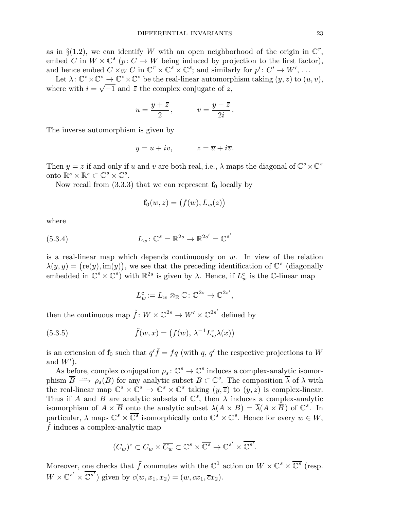as in §(1.2), we can identify W with an open neighborhood of the origin in  $\mathbb{C}^r$ , embed C in  $W \times \mathbb{C}^s$  (p:  $C \to W$  being induced by projection to the first factor), and hence embed  $C \times_W C$  in  $\mathbb{C}^r \times \mathbb{C}^s \times \mathbb{C}^s$ ; and similarly for  $p' : C' \to W'$ , ...

Let  $\lambda: \mathbb{C}^s \times \mathbb{C}^s \to \mathbb{C}^s \times \mathbb{C}^s$  be the real-linear automorphism taking  $(y, z)$  to  $(u, v)$ , where with  $i = \sqrt{-1}$  and  $\overline{z}$  the complex conjugate of z,

$$
u = \frac{y + \overline{z}}{2}, \qquad v = \frac{y - \overline{z}}{2i}.
$$

The inverse automorphism is given by

$$
y = u + iv, \qquad z = \overline{u} + i\overline{v}.
$$

Then  $y = z$  if and only if u and v are both real, i.e.,  $\lambda$  maps the diagonal of  $\mathbb{C}^s \times \mathbb{C}^s$ onto  $\mathbb{R}^s \times \mathbb{R}^s \subset \mathbb{C}^s \times \mathbb{C}^s$ .

Now recall from  $(3.3.3)$  that we can represent  $f_0$  locally by

$$
\mathbf{f}_0(w,z) = \big(f(w), L_w(z)\big)
$$

where

(5.3.4) 
$$
L_w: \mathbb{C}^s = \mathbb{R}^{2s} \to \mathbb{R}^{2s'} = \mathbb{C}^{s'}
$$

is a real-linear map which depends continuously on  $w$ . In view of the relation  $\lambda(y, y) = (\text{re}(y), \text{im}(y)),$  we see that the preceding identification of  $\mathbb{C}^s$  (diagonally embedded in  $\mathbb{C}^s \times \mathbb{C}^s$  with  $\mathbb{R}^{2s}$  is given by  $\lambda$ . Hence, if  $L^c_w$  is the C-linear map

$$
L^{\mathbf{c}}_w := L_w \otimes_{\mathbb{R}} \mathbb{C} : \mathbb{C}^{2s} \to \mathbb{C}^{2s'},
$$

then the continuous map  $\tilde{f}: W \times \mathbb{C}^{2s} \to W' \times \mathbb{C}^{2s'}$  defined by

(5.3.5) 
$$
\tilde{f}(w,x) = (f(w), \lambda^{-1} L_w^c \lambda(x))
$$

is an extension of  $f_0$  such that  $q'\tilde{f} = f q$  (with q, q' the respective projections to W and  $W'$ ).

As before, complex conjugation  $\rho_s : \mathbb{C}^s \to \mathbb{C}^s$  induces a complex-analytic isomorphism  $\overline{B} \longrightarrow \rho_s(B)$  for any analytic subset  $B \subset \mathbb{C}^s$ . The composition  $\overline{\lambda}$  of  $\lambda$  with the real-linear map  $\mathbb{C}^s \times \mathbb{C}^s \to \mathbb{C}^s \times \mathbb{C}^s$  taking  $(y,\overline{z})$  to  $(y,z)$  is complex-linear. Thus if A and B are analytic subsets of  $\mathbb{C}^s$ , then  $\lambda$  induces a complex-analytic isomorphism of  $A \times \overline{B}$  onto the analytic subset  $\lambda(A \times B) = \overline{\lambda}(A \times \overline{B})$  of  $\mathbb{C}^s$ . In particular,  $\lambda$  maps  $\mathbb{C}^s \times \overline{\mathbb{C}^s}$  isomorphically onto  $\mathbb{C}^s \times \mathbb{C}^s$ . Hence for every  $w \in W$ ,  $\tilde{f}$  induces a complex-analytic map

$$
(C_w)^c \subset C_w \times \overline{C_w} \subset \mathbb{C}^s \times \overline{\mathbb{C}^s} \to \mathbb{C}^{s'} \times \overline{\mathbb{C}^{s'}}.
$$

Moreover, one checks that  $\tilde{f}$  commutes with the  $\mathbb{C}^1$  action on  $W \times \mathbb{C}^s \times \overline{\mathbb{C}^s}$  (resp.  $W \times \mathbb{C}^{s'} \times \mathbb{C}^{s'}$  given by  $c(w, x_1, x_2) = (w, cx_1, \overline{c}x_2)$ .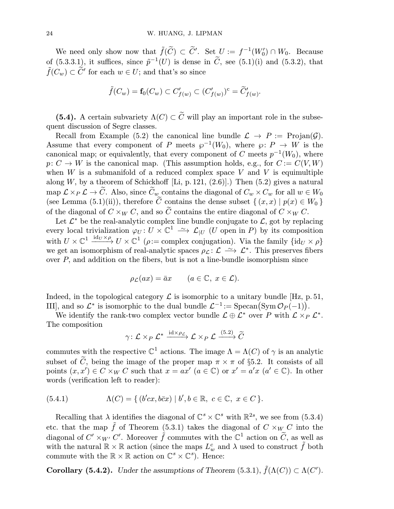We need only show now that  $\tilde{f}(\tilde{C}) \subset \tilde{C}'$ . Set  $U := f^{-1}(W'_0) \cap W_0$ . Because of (5.3.3.1), it suffices, since  $\tilde{p}^{-1}(U)$  is dense in  $\tilde{C}$ , see (5.1)(i) and (5.3.2), that  $\tilde{f}(C_w) \subset \tilde{C}'$  for each  $w \in U$ ; and that's so since

$$
\tilde{f}(C_w) = \mathbf{f}_0(C_w) \subset C'_{f(w)} \subset (C'_{f(w)})^c = \tilde{C}'_{f(w)}.
$$

(5.4). A certain subvariety  $\Lambda(C) \subset \widetilde{C}$  will play an important role in the subsequent discussion of Segre classes.

Recall from Example (5.2) the canonical line bundle  $\mathcal{L} \to P := \text{Projan}(\mathcal{G})$ . Assume that every component of P meets  $\wp^{-1}(W_0)$ , where  $\wp: P \to W$  is the canonical map; or equivalently, that every component of C meets  $p^{-1}(W_0)$ , where  $p: C \to W$  is the canonical map. (This assumption holds, e.g., for  $C := C(V, W)$ ) when  $W$  is a submanifold of a reduced complex space  $V$  and  $V$  is equimultiple along W, by a theorem of Schickhoff [Li, p. 121,  $(2.6)$ ].) Then  $(5.2)$  gives a natural map  $\mathcal{L} \times_{P} \mathcal{L} \to \widetilde{C}$ . Also, since  $\widetilde{C}_w$  contains the diagonal of  $C_w \times C_w$  for all  $w \in W_0$ (see Lemma (5.1)(ii)), therefore  $\tilde{C}$  contains the dense subset  $\{(x, x) | p(x) \in W_0\}$ of the diagonal of  $C \times_W C$ , and so  $\tilde{C}$  contains the entire diagonal of  $C \times_W C$ .

Let  $\mathcal{L}^*$  be the real-analytic complex line bundle conjugate to  $\mathcal{L}$ , got by replacing every local trivialization  $\varphi_U: U \times \mathbb{C}^1 \longrightarrow \mathcal{L}_{|U|}(U \text{ open in } P)$  by its composition with  $U \times \mathbb{C}^1 \xrightarrow{\text{id}_U \times \rho} U \times \mathbb{C}^1$  ( $\rho := \text{complex conjugation}$ ). Via the family  $\{\text{id}_U \times \rho\}$ we get an isomorphism of real-analytic spaces  $\rho_{\mathcal{L}}: \mathcal{L} \longrightarrow \mathcal{L}^*$ . This preserves fibers over  $P$ , and addition on the fibers, but is not a line-bundle isomorphism since

$$
\rho_{\mathcal{L}}(ax) = \bar{a}x \qquad (a \in \mathbb{C}, \ x \in \mathcal{L}).
$$

Indeed, in the topological category  $\mathcal L$  is isomorphic to a unitary bundle [Hz, p. 51, III], and so  $\mathcal{L}^*$  is isomorphic to the dual bundle  $\mathcal{L}^{-1} := \text{Specan}(\text{Sym } \mathcal{O}_P(-1)).$ 

We identify the rank-two complex vector bundle  $\mathcal{L} \oplus \mathcal{L}^*$  over P with  $\mathcal{L} \times_{P} \mathcal{L}^*$ . The composition

$$
\gamma\colon {\mathcal L} \times_P {\mathcal L}^* \xrightarrow{\operatorname{id} \times \rho_{\mathcal L}} {\mathcal L} \times_P {\mathcal L} \xrightarrow{ (5.2)} \widetilde{C}
$$

commutes with the respective  $\mathbb{C}^1$  actions. The image  $\Lambda = \Lambda(C)$  of  $\gamma$  is an analytic subset of  $\tilde{C}$ , being the image of the proper map  $\pi \times \pi$  of §5.2. It consists of all points  $(x, x') \in C \times_W C$  such that  $x = ax'$   $(a \in \mathbb{C})$  or  $x' = a'x$   $(a' \in \mathbb{C})$ . In other words (verification left to reader):

(5.4.1) 
$$
\Lambda(C) = \{ (b'cx, b\bar{c}x) | b', b \in \mathbb{R}, c \in \mathbb{C}, x \in C \}.
$$

Recalling that  $\lambda$  identifies the diagonal of  $\mathbb{C}^s \times \mathbb{C}^s$  with  $\mathbb{R}^{2s}$ , we see from (5.3.4) etc. that the map  $\tilde{f}$  of Theorem (5.3.1) takes the diagonal of  $C \times_W C$  into the diagonal of  $C' \times_{W'} C'$ . Moreover  $\tilde{f}$  commutes with the  $\mathbb{C}^1$  action on  $\tilde{C}$ , as well as with the natural  $\mathbb{R} \times \mathbb{R}$  action (since the maps  $L^c_w$  and  $\lambda$  used to construct  $\tilde{f}$  both commute with the  $\mathbb{R} \times \mathbb{R}$  action on  $\mathbb{C}^s \times \mathbb{C}^s$ . Hence:

**Corollary (5.4.2).** Under the assumptions of Theorem (5.3.1),  $\tilde{f}(\Lambda(C)) \subset \Lambda(C')$ .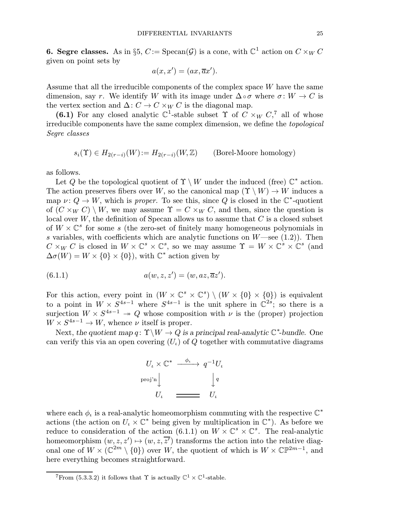6. Segre classes. As in §5,  $C := \text{Specan}(\mathcal{G})$  is a cone, with  $\mathbb{C}^1$  action on  $C \times_W C$ given on point sets by

$$
a(x, x') = (ax, \overline{a}x').
$$

Assume that all the irreducible components of the complex space W have the same dimension, say r. We identify W with its image under  $\Delta \circ \sigma$  where  $\sigma : W \to C$  is the vertex section and  $\Delta: C \to C \times_W C$  is the diagonal map.

(6.1) For any closed analytic  $\mathbb{C}^1$ -stable subset  $\Upsilon$  of  $C \times_W C$ ,<sup>7</sup> all of whose irreducible components have the same complex dimension, we define the topological Segre classes

$$
s_i(\Upsilon) \in H_{2(r-i)}(W) := H_{2(r-i)}(W, \mathbb{Z}) \qquad \text{(Borel-Moore homology)}
$$

as follows.

Let Q be the topological quotient of  $\Upsilon \setminus W$  under the induced (free)  $\mathbb{C}^*$  action. The action preserves fibers over W, so the canonical map  $(\Upsilon \setminus W) \to W$  induces a map  $\nu: Q \to W$ , which is proper. To see this, since Q is closed in the  $\mathbb{C}^*$ -quotient of  $(C \times_W C) \setminus W$ , we may assume  $\Upsilon = C \times_W C$ , and then, since the question is local over  $W$ , the definition of Specan allows us to assume that  $C$  is a closed subset of  $W \times \mathbb{C}^s$  for some s (the zero-set of finitely many homogeneous polynomials in s variables, with coefficients which are analytic functions on  $W$ —see (1.2)). Then  $C \times_W C$  is closed in  $W \times \mathbb{C}^s \times \mathbb{C}^s$ , so we may assume  $\Upsilon = W \times \mathbb{C}^s \times \mathbb{C}^s$  (and  $\Delta \sigma(W) = W \times \{0\} \times \{0\}$ , with  $\mathbb{C}^*$  action given by

(6.1.1) 
$$
a(w, z, z') = (w, az, \overline{a}z').
$$

For this action, every point in  $(W \times \mathbb{C}^s \times \mathbb{C}^s) \setminus (W \times \{0\} \times \{0\})$  is equivalent to a point in  $W \times S^{4s-1}$  where  $S^{4s-1}$  is the unit sphere in  $\mathbb{C}^{2s}$ ; so there is a surjection  $W \times S^{4s-1} \rightarrow Q$  whose composition with  $\nu$  is the (proper) projection  $W \times S^{4s-1} \to W$ , whence  $\nu$  itself is proper.

Next, the quotient map  $q: \Upsilon \backslash W \to Q$  is a principal real-analytic  $\mathbb{C}^*$ -bundle. One can verify this via an open covering  $(U<sub>i</sub>)$  of Q together with commutative diagrams



where each  $\phi_{\iota}$  is a real-analytic homeomorphism commuting with the respective  $\mathbb{C}^*$ actions (the action on  $U_t \times \mathbb{C}^*$  being given by multiplication in  $\mathbb{C}^*$ ). As before we reduce to consideration of the action  $(6.1.1)$  on  $W \times \mathbb{C}^s \times \mathbb{C}^s$ . The real-analytic homeomorphism  $(w, z, z') \mapsto (w, z, \overline{z'})$  transforms the action into the relative diagonal one of  $W \times (\mathbb{C}^{2m} \setminus \{0\})$  over W, the quotient of which is  $W \times \mathbb{C} \mathbb{P}^{2m-1}$ , and here everything becomes straightforward.

<sup>&</sup>lt;sup>7</sup>From (5.3.3.2) it follows that  $\Upsilon$  is actually  $\mathbb{C}^1 \times \mathbb{C}^1$ -stable.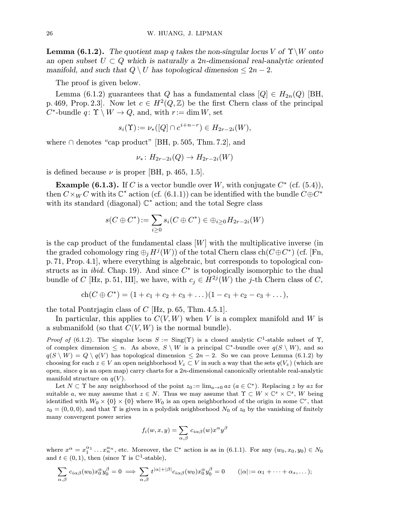**Lemma (6.1.2).** The quotient map q takes the non-singular locus V of  $\Upsilon \backslash W$  onto an open subset  $U \subset Q$  which is naturally a 2n-dimensional real-analytic oriented manifold, and such that  $Q \setminus U$  has topological dimension  $\leq 2n-2$ .

The proof is given below.

Lemma (6.1.2) guarantees that Q has a fundamental class  $[Q] \in H_{2n}(Q)$  [BH, p. 469, Prop. 2.3. Now let  $c \in H^2(Q,\mathbb{Z})$  be the first Chern class of the principal  $C^*$ -bundle  $q: \Upsilon \setminus W \to Q$ , and, with  $r := \dim W$ , set

$$
s_i(\Upsilon) := \nu_*([Q] \cap c^{i+n-r}) \in H_{2r-2i}(W),
$$

where  $\cap$  denotes "cap product" [BH, p. 505, Thm. 7.2], and

$$
\nu_*\colon H_{2r-2i}(Q)\to H_{2r-2i}(W)
$$

is defined because  $\nu$  is proper [BH, p. 465, 1.5].

**Example (6.1.3).** If C is a vector bundle over W, with conjugate  $C^*$  (cf. (5.4)), then  $C\times_W C$  with its  $\mathbb{C}^*$  action (cf. (6.1.1)) can be identified with the bundle  $C\oplus C^*$ with its standard (diagonal)  $\mathbb{C}^*$  action; and the total Segre class

$$
s(C\oplus C^*)\mathbin{:=} \sum_{i\geq 0} s_i(C\oplus C^*)\in \oplus_{i\geq 0} H_{2r-2i}(W)
$$

is the cap product of the fundamental class  $[W]$  with the multiplicative inverse (in the graded cohomology ring  $\oplus_i H^j(W)$  of the total Chern class ch( $C \oplus C^*$ ) (cf. [Fn, p. 71, Prop.4.1], where everything is algebraic, but corresponds to topological constructs as in *ibid.* Chap. 19). And since  $C^*$  is topologically isomorphic to the dual bundle of C [Hz, p. 51, III], we have, with  $c_i \in H^{2j}(W)$  the j-th Chern class of C,

$$
ch(C \oplus C^*) = (1 + c_1 + c_2 + c_3 + \dots)(1 - c_1 + c_2 - c_3 + \dots),
$$

the total Pontrjagin class of  $C$  [Hz, p. 65, Thm. 4.5.1].

In particular, this applies to  $C(V, W)$  when V is a complex manifold and W is a submanifold (so that  $C(V, W)$  is the normal bundle).

*Proof of* (6.1.2). The singular locus  $S := \text{Sing}(\Upsilon)$  is a closed analytic  $C^1$ -stable subset of  $\Upsilon$ , of complex dimension  $\leq n$ . As above,  $S \setminus W$  is a principal  $\mathbb{C}^*$ -bundle over  $q(S \setminus W)$ , and so  $q(S \setminus W) = Q \setminus q(V)$  has topological dimension  $\leq 2n-2$ . So we can prove Lemma (6.1.2) by choosing for each  $z \in V$  an open neighborhood  $V_z \subset V$  in such a way that the sets  $q(V_z)$  (which are open, since  $q$  is an open map) carry charts for a  $2n$ -dimensional canonically orientable real-analytic manifold structure on  $q(V)$ .

Let  $N \subset \Upsilon$  be any neighborhood of the point  $z_0 := \lim_{a \to 0} az \ (a \in \mathbb{C}^*)$ . Replacing z by az for suitable a, we may assume that  $z \in N$ . Thus we may assume that  $\Upsilon \subset W \times \mathbb{C}^s \times \mathbb{C}^s$ , W being identified with  $W_0 \times \{0\} \times \{0\}$  where  $W_0$  is an open neighborhood of the origin in some  $\mathbb{C}^r$ , that  $z_0 = (0, 0, 0)$ , and that Y is given in a polydisk neighborhood  $N_0$  of  $z_0$  by the vanishing of finitely many convergent power series

$$
f_i(w,x,y) = \sum_{\alpha,\beta} c_{i\alpha\beta}(w) x^{\alpha} y^{\beta}
$$

where  $x^{\alpha} = x_1^{\alpha_1} \dots x_n^{\alpha_n}$ , etc. Moreover, the  $\mathbb{C}^*$  action is as in (6.1.1). For any  $(w_0, x_0, y_0) \in N_0$ and  $t \in (0, 1)$ , then (since  $\Upsilon$  is  $\mathbb{C}^1$ -stable),

$$
\sum_{\alpha,\beta} c_{i\alpha\beta}(w_0) x_0^{\alpha} y_0^{\beta} = 0 \implies \sum_{\alpha,\beta} t^{|\alpha|+|\beta|} c_{i\alpha\beta}(w_0) x_0^{\alpha} y_0^{\beta} = 0 \qquad (|\alpha| := \alpha_1 + \dots + \alpha_s, \dots);
$$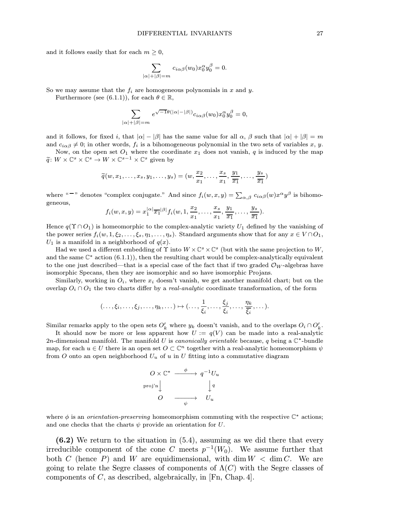and it follows easily that for each  $m \geq 0$ ,

$$
\sum_{|\alpha|+|\beta|=m} c_{i\alpha\beta}(w_0) x_0^{\alpha} y_0^{\beta} = 0.
$$

So we may assume that the  $f_i$  are homogeneous polynomials in x and y.

Furthermore (see (6.1.1)), for each  $\theta \in \mathbb{R}$ ,

$$
\sum_{|\alpha|+|\beta|=m} e^{\sqrt{-1}\theta(|\alpha|-|\beta|)} c_{i\alpha\beta}(w_0) x_0^{\alpha} y_0^{\beta} = 0,
$$

and it follows, for fixed i, that  $|\alpha| - |\beta|$  has the same value for all  $\alpha$ ,  $\beta$  such that  $|\alpha| + |\beta| = m$ and  $c_{i\alpha\beta} \neq 0$ ; in other words,  $f_i$  is a bihomogeneous polynomial in the two sets of variables x, y.

Now, on the open set  $O_1$  where the coordinate  $x_1$  does not vanish, q is induced by the map  $\widetilde{q}: W \times \mathbb{C}^s \times \mathbb{C}^s \to W \times \mathbb{C}^{s-1} \times \mathbb{C}^s$  given by

$$
\widetilde{q}(w,x_1,\ldots,x_s,y_1,\ldots,y_s)=(w,\frac{x_2}{x_1},\ldots,\frac{x_s}{x_1},\frac{y_1}{\overline{x_1}},\ldots,\frac{y_s}{\overline{x_1}})
$$

where "<sup>-</sup>" denotes "complex conjugate." And since  $f_i(w, x, y) = \sum_{\alpha, \beta} c_{i\alpha\beta}(w) x^{\alpha} y^{\beta}$  is bihomogeneous,

$$
f_i(w, x, y) = x_1^{|\alpha|} \overline{x_1}^{|\beta|} f_i(w, 1, \frac{x_2}{x_1}, \dots, \frac{x_s}{x_1}, \frac{y_1}{\overline{x_1}}, \dots, \frac{y_s}{\overline{x_1}}).
$$

Hence  $q(\Upsilon \cap O_1)$  is homeomorphic to the complex-analytic variety  $U_1$  defined by the vanishing of the power series  $f_i(w, 1, \xi_2, \ldots, \xi_s, \eta_1, \ldots, \eta_s)$ . Standard arguments show that for any  $x \in V \cap O_1$ ,  $U_1$  is a manifold in a neighborhood of  $q(x)$ .

Had we used a different embedding of  $\Upsilon$  into  $W \times \mathbb{C}^s \times \mathbb{C}^s$  (but with the same projection to  $W$ , and the same  $\mathbb{C}^*$  action (6.1.1)), then the resulting chart would be complex-analytically equivalent to the one just described—that is a special case of the fact that if two graded  $\mathcal{O}_W$ -algebras have isomorphic Specans, then they are isomorphic and so have isomorphic Projans.

Similarly, working in  $O_i$ , where  $x_i$  doesn't vanish, we get another manifold chart; but on the overlap  $O_i \cap O_1$  the two charts differ by a *real-analytic* coordinate transformation, of the form

$$
(\ldots,\xi_i,\ldots,\xi_j,\ldots,\eta_k,\ldots) \mapsto (\ldots,\frac{1}{\xi_i},\ldots,\frac{\xi_j}{\xi_i},\ldots,\frac{\eta_k}{\xi_i},\ldots).
$$

Similar remarks apply to the open sets  $O'_k$  where  $y_k$  doesn't vanish, and to the overlaps  $O_i \cap O'_k$ .

It should now be more or less apparent how  $U := q(V)$  can be made into a real-analytic 2n-dimensional manifold. The manifold U is canonically orientable because, q being a  $\mathbb{C}^*$ -bundle map, for each  $u \in U$  there is an open set  $O \subset \mathbb{C}^n$  together with a real-analytic homeomorphism  $\psi$ from O onto an open neighborhood  $U_u$  of u in U fitting into a commutative diagram

$$
O \times \mathbb{C}^* \xrightarrow{\phi} q^{-1}U_u
$$
  
proj'n $\downarrow \qquad \qquad \downarrow q$   

$$
O \xrightarrow{\qquad \qquad \downarrow \qquad \qquad \downarrow q}
$$
  

$$
O \xrightarrow{\qquad \qquad \downarrow \qquad \qquad \downarrow u}
$$

where  $\phi$  is an *orientation-preserving* homeomorphism commuting with the respective  $\mathbb{C}^*$  actions; and one checks that the charts  $\psi$  provide an orientation for U.

(6.2) We return to the situation in (5.4), assuming as we did there that every irreducible component of the cone C meets  $p^{-1}(W_0)$ . We assume further that both C (hence P) and W are equidimensional, with dim  $W < \dim C$ . We are going to relate the Segre classes of components of  $\Lambda(C)$  with the Segre classes of components of  $C$ , as described, algebraically, in [Fn, Chap. 4].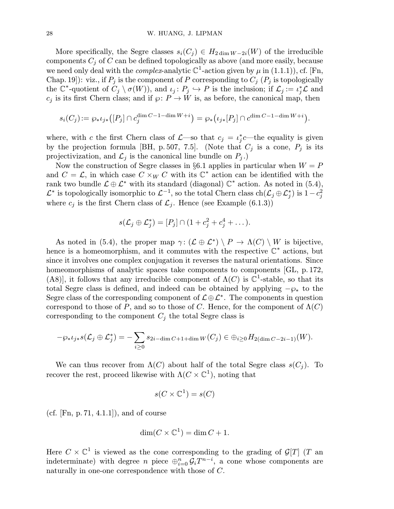More specifically, the Segre classes  $s_i(C_i) \in H_{2 \dim W - 2i}(W)$  of the irreducible components  $C_i$  of C can be defined topologically as above (and more easily, because we need only deal with the *complex*-analytic  $\mathbb{C}^1$ -action given by  $\mu$  in (1.1.1)), cf. [Fn, Chap. 19]): viz., if  $P_j$  is the component of P corresponding to  $C_j$  ( $P_j$  is topologically the  $\mathbb{C}^*$ -quotient of  $C_j \setminus \sigma(W)$ , and  $\iota_j : P_j \hookrightarrow P$  is the inclusion; if  $\mathcal{L}_j := \iota_j^*\mathcal{L}$  and  $c_j$  is its first Chern class; and if  $\wp \colon P \to W$  is, as before, the canonical map, then

$$
s_i(C_j) := \wp_* \iota_{j*}([P_j] \cap c_j^{\dim C - 1 - \dim W + i}) = \wp_* \bigl( \iota_{j*}[P_j] \cap c^{\dim C - 1 - \dim W + i} \bigr).
$$

where, with c the first Chern class of  $\mathcal{L}$ —so that  $c_j = \iota_j^* c$ —the equality is given by the projection formula [BH, p. 507, 7.5]. (Note that  $C_j$  is a cone,  $P_j$  is its projectivization, and  $\mathcal{L}_i$  is the canonical line bundle on  $P_i$ .)

Now the construction of Segre classes in §6.1 applies in particular when  $W = P$ and  $C = \mathcal{L}$ , in which case  $C \times_W C$  with its  $\mathbb{C}^*$  action can be identified with the rank two bundle  $\mathcal{L} \oplus \mathcal{L}^*$  with its standard (diagonal)  $\mathbb{C}^*$  action. As noted in (5.4),  $\mathcal{L}^*$  is topologically isomorphic to  $\mathcal{L}^{-1}$ , so the total Chern class  $\mathrm{ch}(\mathcal{L}_j \oplus \mathcal{L}_j^*)$  is  $1-c_j^2$ where  $c_j$  is the first Chern class of  $\mathcal{L}_j$ . Hence (see Example (6.1.3))

$$
s(\mathcal{L}_j \oplus \mathcal{L}_j^*) = [P_j] \cap (1 + c_j^2 + c_j^4 + \dots).
$$

As noted in (5.4), the proper map  $\gamma: (\mathcal{L} \oplus \mathcal{L}^*) \setminus P \to \Lambda(C) \setminus W$  is bijective, hence is a homeomorphism, and it commutes with the respective  $\mathbb{C}^*$  actions, but since it involves one complex conjugation it reverses the natural orientations. Since homeomorphisms of analytic spaces take components to components [GL, p. 172, (A8)], it follows that any irreducible component of  $\Lambda(C)$  is  $\mathbb{C}^1$ -stable, so that its total Segre class is defined, and indeed can be obtained by applying  $-\wp_*$  to the Segre class of the corresponding component of  $\mathcal{L} \oplus \mathcal{L}^*$ . The components in question correspond to those of P, and so to those of C. Hence, for the component of  $\Lambda(C)$ corresponding to the component  $C_j$  the total Segre class is

$$
-\wp_*\iota_{j*}s(\mathcal{L}_j\oplus \mathcal{L}_j^*)=-\sum_{i\geq 0}s_{2i-\dim C+1+\dim W}(C_j)\in \oplus_{i\geq 0}H_{2(\dim C-2i-1)}(W).
$$

We can thus recover from  $\Lambda(C)$  about half of the total Segre class  $s(C_i)$ . To recover the rest, proceed likewise with  $\Lambda(C \times \mathbb{C}^1)$ , noting that

$$
s(C\times \mathbb{C}^1)=s(C)
$$

(cf. [Fn, p. 71, 4.1.1]), and of course

$$
\dim(C \times \mathbb{C}^1) = \dim C + 1.
$$

Here  $C \times \mathbb{C}^1$  is viewed as the cone corresponding to the grading of  $\mathcal{G}[T]$  (T an indeterminate) with degree n piece  $\bigoplus_{i=0}^n \mathcal{G}_i T^{n-i}$ , a cone whose components are naturally in one-one correspondence with those of C.